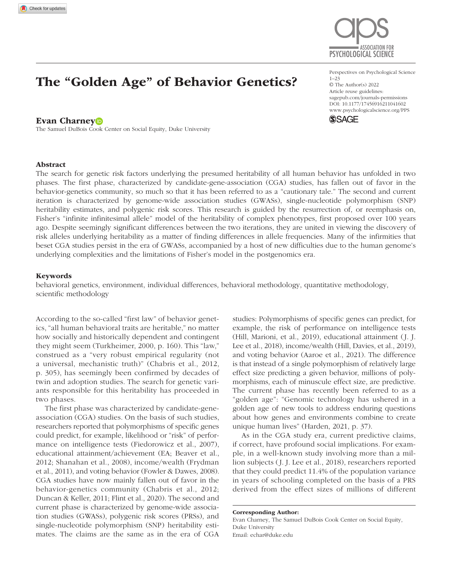

# The "Golden Age" of Behavior Genetics?

#### Evan Charney<sup>D</sup>

The Samuel DuBois Cook Center on Social Equity, Duke University

https://doi.org/10.1177/17456916211041602 DOI: 10.1177/17456916211041602 Perspectives on Psychological Science 1–23 © The Author(s) 2022 Article reuse guidelines: [sagepub.com/journals-permissions](https://us.sagepub.com/en-us/journals-permissions) [www.psychologicalscience.org/PPS](http://www.psychologicalscience.org/pps)



## Abstract

The search for genetic risk factors underlying the presumed heritability of all human behavior has unfolded in two phases. The first phase, characterized by candidate-gene-association (CGA) studies, has fallen out of favor in the behavior-genetics community, so much so that it has been referred to as a "cautionary tale." The second and current iteration is characterized by genome-wide association studies (GWASs), single-nucleotide polymorphism (SNP) heritability estimates, and polygenic risk scores. This research is guided by the resurrection of, or reemphasis on, Fisher's "infinite infinitesimal allele" model of the heritability of complex phenotypes, first proposed over 100 years ago. Despite seemingly significant differences between the two iterations, they are united in viewing the discovery of risk alleles underlying heritability as a matter of finding differences in allele frequencies. Many of the infirmities that beset CGA studies persist in the era of GWASs, accompanied by a host of new difficulties due to the human genome's underlying complexities and the limitations of Fisher's model in the postgenomics era.

#### Keywords

behavioral genetics, environment, individual differences, behavioral methodology, quantitative methodology, scientific methodology

According to the so-called "first law" of behavior genetics, "all human behavioral traits are heritable," no matter how socially and historically dependent and contingent they might seem (Turkheimer, 2000, p. 160). This "law," construed as a "very robust empirical regularity (not a universal, mechanistic truth)" (Chabris et al., 2012, p. 305), has seemingly been confirmed by decades of twin and adoption studies. The search for genetic variants responsible for this heritability has proceeded in two phases.

The first phase was characterized by candidate-geneassociation (CGA) studies. On the basis of such studies, researchers reported that polymorphisms of specific genes could predict, for example, likelihood or "risk" of performance on intelligence tests (Fiedorowicz et al., 2007), educational attainment/achievement (EA; Beaver et al., 2012; Shanahan et al., 2008), income/wealth (Frydman et al., 2011), and voting behavior (Fowler & Dawes, 2008). CGA studies have now mainly fallen out of favor in the behavior-genetics community (Chabris et al., 2012; Duncan & Keller, 2011; Flint et al., 2020). The second and current phase is characterized by genome-wide association studies (GWASs), polygenic risk scores (PRSs), and single-nucleotide polymorphism (SNP) heritability estimates. The claims are the same as in the era of CGA studies: Polymorphisms of specific genes can predict, for example, the risk of performance on intelligence tests (Hill, Marioni, et al., 2019), educational attainment (J. J. Lee et al., 2018), income/wealth (Hill, Davies, et al., 2019), and voting behavior (Aaroe et al., 2021). The difference is that instead of a single polymorphism of relatively large effect size predicting a given behavior, millions of polymorphisms, each of minuscule effect size, are predictive. The current phase has recently been referred to as a "golden age": "Genomic technology has ushered in a golden age of new tools to address enduring questions about how genes and environments combine to create unique human lives" (Harden, 2021, p. 37).

As in the CGA study era, current predictive claims, if correct, have profound social implications. For example, in a well-known study involving more than a million subjects (J. J. Lee et al., 2018), researchers reported that they could predict 11.4% of the population variance in years of schooling completed on the basis of a PRS derived from the effect sizes of millions of different

Corresponding Author: Evan Charney, The Samuel DuBois Cook Center on Social Equity, Duke University Email: [echar@duke.edu](mailto:echar@duke.edu)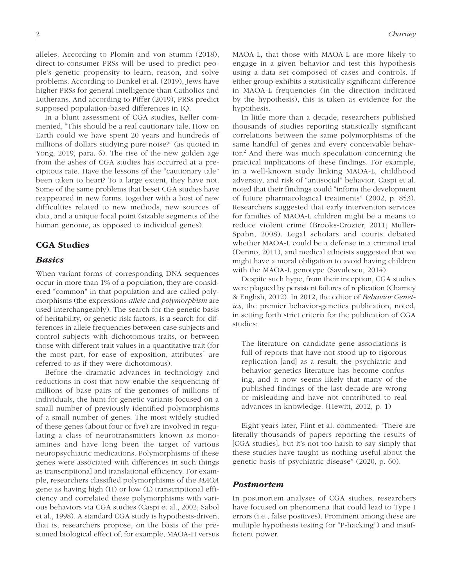alleles. According to Plomin and von Stumm (2018), direct-to-consumer PRSs will be used to predict people's genetic propensity to learn, reason, and solve problems. According to Dunkel et al. (2019), Jews have higher PRSs for general intelligence than Catholics and Lutherans. And according to Piffer (2019), PRSs predict supposed population-based differences in IQ.

In a blunt assessment of CGA studies, Keller commented, "This should be a real cautionary tale. How on Earth could we have spent 20 years and hundreds of millions of dollars studying pure noise?" (as quoted in Yong, 2019, para. 6). The rise of the new golden age from the ashes of CGA studies has occurred at a precipitous rate. Have the lessons of the "cautionary tale" been taken to heart? To a large extent, they have not. Some of the same problems that beset CGA studies have reappeared in new forms, together with a host of new difficulties related to new methods, new sources of data, and a unique focal point (sizable segments of the human genome, as opposed to individual genes).

## CGA Studies

### *Basics*

When variant forms of corresponding DNA sequences occur in more than 1% of a population, they are considered "common" in that population and are called polymorphisms (the expressions *allele* and *polymorphism* are used interchangeably). The search for the genetic basis of heritability, or genetic risk factors, is a search for differences in allele frequencies between case subjects and control subjects with dichotomous traits, or between those with different trait values in a quantitative trait (for the most part, for ease of exposition, attributes<sup>1</sup> are referred to as if they were dichotomous).

Before the dramatic advances in technology and reductions in cost that now enable the sequencing of millions of base pairs of the genomes of millions of individuals, the hunt for genetic variants focused on a small number of previously identified polymorphisms of a small number of genes. The most widely studied of these genes (about four or five) are involved in regulating a class of neurotransmitters known as monoamines and have long been the target of various neuropsychiatric medications. Polymorphisms of these genes were associated with differences in such things as transcriptional and translational efficiency. For example, researchers classified polymorphisms of the *MAOA* gene as having high (H) or low (L) transcriptional efficiency and correlated these polymorphisms with various behaviors via CGA studies (Caspi et al., 2002; Sabol et al., 1998). A standard CGA study is hypothesis-driven; that is, researchers propose, on the basis of the presumed biological effect of, for example, MAOA-H versus MAOA-L, that those with MAOA-L are more likely to engage in a given behavior and test this hypothesis using a data set composed of cases and controls. If either group exhibits a statistically significant difference in MAOA-L frequencies (in the direction indicated by the hypothesis), this is taken as evidence for the hypothesis.

In little more than a decade, researchers published thousands of studies reporting statistically significant correlations between the same polymorphisms of the same handful of genes and every conceivable behavior.2 And there was much speculation concerning the practical implications of these findings. For example, in a well-known study linking MAOA-L, childhood adversity, and risk of "antisocial" behavior, Caspi et al. noted that their findings could "inform the development of future pharmacological treatments" (2002, p. 853). Researchers suggested that early intervention services for families of MAOA-L children might be a means to reduce violent crime (Brooks-Crozier, 2011; Muller-Spahn, 2008). Legal scholars and courts debated whether MAOA-L could be a defense in a criminal trial (Denno, 2011), and medical ethicists suggested that we might have a moral obligation to avoid having children with the MAOA-L genotype (Savulescu, 2014).

Despite such hype, from their inception, CGA studies were plagued by persistent failures of replication (Charney & English, 2012). In 2012, the editor of *Behavior Genetics*, the premier behavior-genetics publication, noted, in setting forth strict criteria for the publication of CGA studies:

The literature on candidate gene associations is full of reports that have not stood up to rigorous replication [and] as a result, the psychiatric and behavior genetics literature has become confusing, and it now seems likely that many of the published findings of the last decade are wrong or misleading and have not contributed to real advances in knowledge. (Hewitt, 2012, p. 1)

Eight years later, Flint et al. commented: "There are literally thousands of papers reporting the results of [CGA studies], but it's not too harsh to say simply that these studies have taught us nothing useful about the genetic basis of psychiatric disease" (2020, p. 60).

#### *Postmortem*

In postmortem analyses of CGA studies, researchers have focused on phenomena that could lead to Type I errors (i.e., false positives). Prominent among these are multiple hypothesis testing (or "P-hacking") and insufficient power.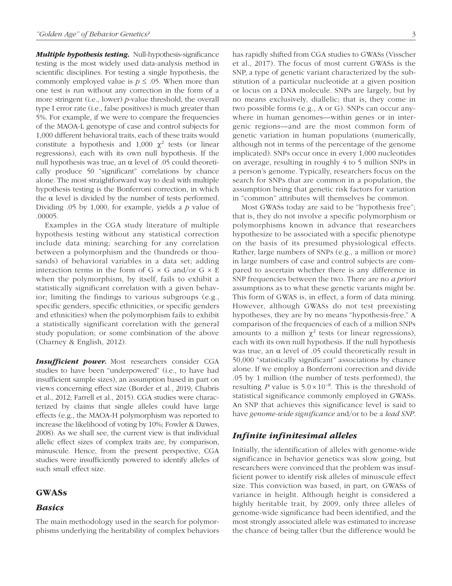*Multiple hypothesis testing.* Null-hypothesis-significance testing is the most widely used data-analysis method in scientific disciplines. For testing a single hypothesis, the commonly employed value is  $p \leq 0.05$ . When more than one test is run without any correction in the form of a more stringent (i.e., lower) *p*-value threshold, the overall type I error rate (i.e., false positives) is much greater than 5%. For example, if we were to compare the frequencies of the MAOA-L genotype of case and control subjects for 1,000 different behavioral traits, each of these traits would constitute a hypothesis and 1,000  $\chi^2$  tests (or linear regressions), each with its own null hypothesis. If the null hypothesis was true, an α level of .05 could theoretically produce 50 "significant" correlations by chance alone. The most straightforward way to deal with multiple hypothesis testing is the Bonferroni correction, in which the  $\alpha$  level is divided by the number of tests performed. Dividing .05 by 1,000, for example, yields a *p* value of .00005.

Examples in the CGA study literature of multiple hypothesis testing without any statistical correction include data mining; searching for any correlation between a polymorphism and the (hundreds or thousands) of behavioral variables in a data set; adding interaction terms in the form of  $G \times G$  and/or  $G \times E$ when the polymorphism, by itself, fails to exhibit a statistically significant correlation with a given behavior; limiting the findings to various subgroups (e.g., specific genders, specific ethnicities, or specific genders and ethnicities) when the polymorphism fails to exhibit a statistically significant correlation with the general study population; or some combination of the above (Charney & English, 2012).

**Insufficient power.** Most researchers consider CGA studies to have been "underpowered" (i.e., to have had insufficient sample sizes), an assumption based in part on views concerning effect size (Border et al., 2019; Chabris et al., 2012; Farrell et al., 2015). CGA studies were characterized by claims that single alleles could have large effects (e.g., the MAOA-H polymorphism was reported to increase the likelihood of voting by 10%; Fowler & Dawes, 2008). As we shall see, the current view is that individual allelic effect sizes of complex traits are, by comparison, minuscule. Hence, from the present perspective, CGA studies were insufficiently powered to identify alleles of such small effect size.

## GWASs

#### *Basics*

The main methodology used in the search for polymorphisms underlying the heritability of complex behaviors has rapidly shifted from CGA studies to GWASs (Visscher et al., 2017). The focus of most current GWASs is the SNP, a type of genetic variant characterized by the substitution of a particular nucleotide at a given position or locus on a DNA molecule. SNPs are largely, but by no means exclusively, diallelic; that is, they come in two possible forms (e.g., A or G). SNPs can occur anywhere in human genomes—within genes or in intergenic regions—and are the most common form of genetic variation in human populations (numerically, although not in terms of the percentage of the genome implicated). SNPs occur once in every 1,000 nucleotides on average, resulting in roughly 4 to 5 million SNPs in a person's genome. Typically, researchers focus on the search for SNPs that are common in a population, the assumption being that genetic risk factors for variation in "common" attributes will themselves be common.

Most GWASs today are said to be "hypothesis free"; that is, they do not involve a specific polymorphism or polymorphisms known in advance that researchers hypothesize to be associated with a specific phenotype on the basis of its presumed physiological effects. Rather, large numbers of SNPs (e.g., a million or more) in large numbers of case and control subjects are compared to ascertain whether there is any difference in SNP frequencies between the two. There are no *a priori* assumptions as to what these genetic variants might be. This form of GWAS is, in effect, a form of data mining. However, although GWASs do not test preexisting hypotheses, they are by no means "hypothesis-free." A comparison of the frequencies of each of a million SNPs amounts to a million  $\chi^2$  tests (or linear regressions), each with its own null hypothesis. If the null hypothesis was true, an  $\alpha$  level of .05 could theoretically result in 50,000 "statistically significant" associations by chance alone. If we employ a Bonferroni correction and divide .05 by 1 million (the number of tests performed), the resulting *P* value is  $5.0 \times 10^{-8}$ . This is the threshold of statistical significance commonly employed in GWASs. An SNP that achieves this significance level is said to have *genome-wide significance* and/or to be a *lead SNP*.

## *Infinite infinitesimal alleles*

Initially, the identification of alleles with genome-wide significance in behavior genetics was slow going, but researchers were convinced that the problem was insufficient power to identify risk alleles of minuscule effect size. This conviction was based, in part, on GWASs of variance in height. Although height is considered a highly heritable trait, by 2009, only three alleles of genome-wide significance had been identified, and the most strongly associated allele was estimated to increase the chance of being taller (but the difference would be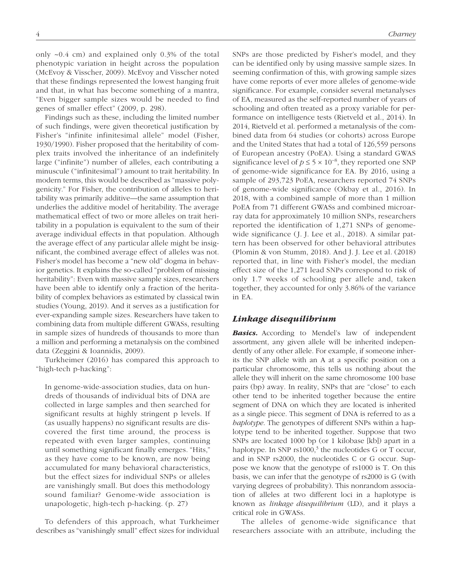only ~0.4 cm) and explained only 0.3% of the total phenotypic variation in height across the population (McEvoy & Visscher, 2009). McEvoy and Visscher noted that these findings represented the lowest hanging fruit and that, in what has become something of a mantra, "Even bigger sample sizes would be needed to find genes of smaller effect" (2009, p. 298).

Findings such as these, including the limited number of such findings, were given theoretical justification by Fisher's "infinite infinitesimal allele" model (Fisher, 1930/1990). Fisher proposed that the heritability of complex traits involved the inheritance of an indefinitely large ("infinite") number of alleles, each contributing a minuscule ("infinitesimal") amount to trait heritability. In modern terms, this would be described as "massive polygenicity." For Fisher, the contribution of alleles to heritability was primarily additive—the same assumption that underlies the additive model of heritability. The average mathematical effect of two or more alleles on trait heritability in a population is equivalent to the sum of their average individual effects in that population. Although the average effect of any particular allele might be insignificant, the combined average effect of alleles was not. Fisher's model has become a "new old" dogma in behavior genetics. It explains the so-called "problem of missing heritability": Even with massive sample sizes, researchers have been able to identify only a fraction of the heritability of complex behaviors as estimated by classical twin studies (Young, 2019). And it serves as a justification for ever-expanding sample sizes. Researchers have taken to combining data from multiple different GWASs, resulting in sample sizes of hundreds of thousands to more than a million and performing a metanalysis on the combined data (Zeggini & Ioannidis, 2009).

Turkheimer (2016) has compared this approach to "high-tech p-hacking":

In genome-wide-association studies, data on hundreds of thousands of individual bits of DNA are collected in large samples and then searched for significant results at highly stringent p levels. If (as usually happens) no significant results are discovered the first time around, the process is repeated with even larger samples, continuing until something significant finally emerges. "Hits," as they have come to be known, are now being accumulated for many behavioral characteristics, but the effect sizes for individual SNPs or alleles are vanishingly small. But does this methodology sound familiar? Genome-wide association is unapologetic, high-tech p-hacking. (p. 27)

To defenders of this approach, what Turkheimer describes as "vanishingly small" effect sizes for individual SNPs are those predicted by Fisher's model, and they can be identified only by using massive sample sizes. In seeming confirmation of this, with growing sample sizes have come reports of ever more alleles of genome-wide significance. For example, consider several metanalyses of EA, measured as the self-reported number of years of schooling and often treated as a proxy variable for performance on intelligence tests (Rietveld et al., 2014). In 2014, Rietveld et al. performed a metanalysis of the combined data from 64 studies (or cohorts) across Europe and the United States that had a total of 126,559 persons of European ancestry (PoEA). Using a standard GWAS significance level of  $p \le 5 \times 10^{-8}$ , they reported one SNP of genome-wide significance for EA. By 2016, using a sample of 293,723 PoEA, researchers reported 74 SNPs of genome-wide significance (Okbay et al., 2016). In 2018, with a combined sample of more than 1 million PoEA from 71 different GWASs and combined microarray data for approximately 10 million SNPs, researchers reported the identification of 1,271 SNPs of genomewide significance (J. J. Lee et al., 2018). A similar pattern has been observed for other behavioral attributes (Plomin & von Stumm, 2018). And J. J. Lee et al. (2018) reported that, in line with Fisher's model, the median effect size of the 1,271 lead SNPs correspond to risk of only 1.7 weeks of schooling per allele and, taken together, they accounted for only 3.86% of the variance in EA.

## *Linkage disequilibrium*

**Basics.** According to Mendel's law of independent assortment, any given allele will be inherited independently of any other allele. For example, if someone inherits the SNP allele with an A at a specific position on a particular chromosome, this tells us nothing about the allele they will inherit on the same chromosome 100 base pairs (bp) away. In reality, SNPs that are "close" to each other tend to be inherited together because the entire segment of DNA on which they are located is inherited as a single piece. This segment of DNA is referred to as a *haplotype*. The genotypes of different SNPs within a haplotype tend to be inherited together. Suppose that two SNPs are located 1000 bp (or 1 kilobase [kb]) apart in a haplotype. In SNP  $rs1000$ <sup>3</sup>, the nucleotides G or T occur, and in SNP rs2000, the nucleotides C or G occur. Suppose we know that the genotype of rs1000 is T. On this basis, we can infer that the genotype of rs2000 is G (with varying degrees of probability). This nonrandom association of alleles at two different loci in a haplotype is known as *linkage disequilibrium* (LD), and it plays a critical role in GWASs.

The alleles of genome-wide significance that researchers associate with an attribute, including the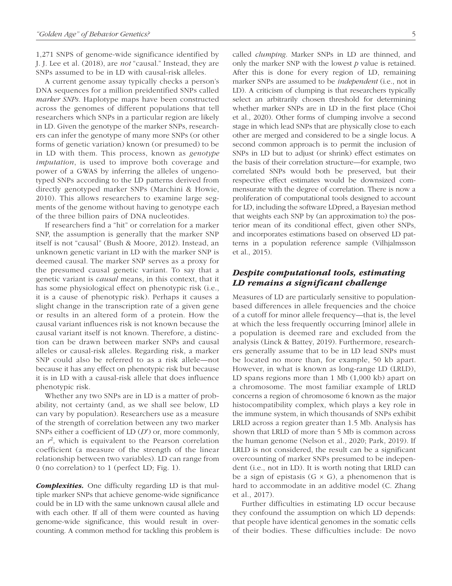1,271 SNPS of genome-wide significance identified by J. J. Lee et al. (2018), are *not* "causal." Instead, they are SNPs assumed to be in LD with causal-risk alleles.

A current genome assay typically checks a person's DNA sequences for a million preidentified SNPs called *marker SNPs*. Haplotype maps have been constructed across the genomes of different populations that tell researchers which SNPs in a particular region are likely in LD. Given the genotype of the marker SNPs, researchers can infer the genotype of many more SNPs (or other forms of genetic variation) known (or presumed) to be in LD with them. This process, known as *genotype imputation*, is used to improve both coverage and power of a GWAS by inferring the alleles of ungenotyped SNPs according to the LD patterns derived from directly genotyped marker SNPs (Marchini & Howie, 2010). This allows researchers to examine large segments of the genome without having to genotype each of the three billion pairs of DNA nucleotides.

If researchers find a "hit" or correlation for a marker SNP, the assumption is generally that the marker SNP itself is not "causal" (Bush & Moore, 2012). Instead, an unknown genetic variant in LD with the marker SNP is deemed causal. The marker SNP serves as a proxy for the presumed causal genetic variant. To say that a genetic variant is *causal* means, in this context, that it has some physiological effect on phenotypic risk (i.e., it is a cause of phenotypic risk). Perhaps it causes a slight change in the transcription rate of a given gene or results in an altered form of a protein. How the causal variant influences risk is not known because the causal variant itself is not known. Therefore, a distinction can be drawn between marker SNPs and causal alleles or causal-risk alleles. Regarding risk, a marker SNP could also be referred to as a risk allele—not because it has any effect on phenotypic risk but because it is in LD with a causal-risk allele that does influence phenotypic risk.

Whether any two SNPs are in LD is a matter of probability, not certainty (and, as we shall see below, LD can vary by population). Researchers use as a measure of the strength of correlation between any two marker SNPs either a coefficient of LD (*D*′) or, more commonly, an  $r^2$ , which is equivalent to the Pearson correlation coefficient (a measure of the strength of the linear relationship between two variables). LD can range from 0 (no correlation) to 1 (perfect LD; Fig. 1).

*Complexities.* One difficulty regarding LD is that multiple marker SNPs that achieve genome-wide significance could be in LD with the same unknown causal allele and with each other. If all of them were counted as having genome-wide significance, this would result in overcounting. A common method for tackling this problem is called *clumping*. Marker SNPs in LD are thinned, and only the marker SNP with the lowest *p* value is retained. After this is done for every region of LD, remaining marker SNPs are assumed to be *independent* (i.e., not in LD). A criticism of clumping is that researchers typically select an arbitrarily chosen threshold for determining whether marker SNPs are in LD in the first place (Choi et al., 2020). Other forms of clumping involve a second stage in which lead SNPs that are physically close to each other are merged and considered to be a single locus. A second common approach is to permit the inclusion of SNPs in LD but to adjust (or shrink) effect estimates on the basis of their correlation structure—for example, two correlated SNPs would both be preserved, but their respective effect estimates would be downsized commensurate with the degree of correlation. There is now a proliferation of computational tools designed to account for LD, including the software LDpred, a Bayesian method that weights each SNP by (an approximation to) the posterior mean of its conditional effect, given other SNPs, and incorporates estimations based on observed LD patterns in a population reference sample (Vilhjalmsson et al., 2015).

# *Despite computational tools, estimating LD remains a significant challenge*

Measures of LD are particularly sensitive to populationbased differences in allele frequencies and the choice of a cutoff for minor allele frequency—that is, the level at which the less frequently occurring [minor] allele in a population is deemed rare and excluded from the analysis (Linck & Battey, 2019). Furthermore, researchers generally assume that to be in LD lead SNPs must be located no more than, for example, 50 kb apart. However, in what is known as long-range LD (LRLD), LD spans regions more than 1 Mb (1,000 kb) apart on a chromosome. The most familiar example of LRLD concerns a region of chromosome 6 known as the major histocompatibility complex, which plays a key role in the immune system, in which thousands of SNPs exhibit LRLD across a region greater than 1.5 Mb. Analysis has shown that LRLD of more than 5 Mb is common across the human genome (Nelson et al., 2020; Park, 2019). If LRLD is not considered, the result can be a significant overcounting of marker SNPs presumed to be independent (i.e., not in LD). It is worth noting that LRLD can be a sign of epistasis  $(G \times G)$ , a phenomenon that is hard to accommodate in an additive model (C. Zhang et al., 2017).

Further difficulties in estimating LD occur because they confound the assumption on which LD depends: that people have identical genomes in the somatic cells of their bodies. These difficulties include: De novo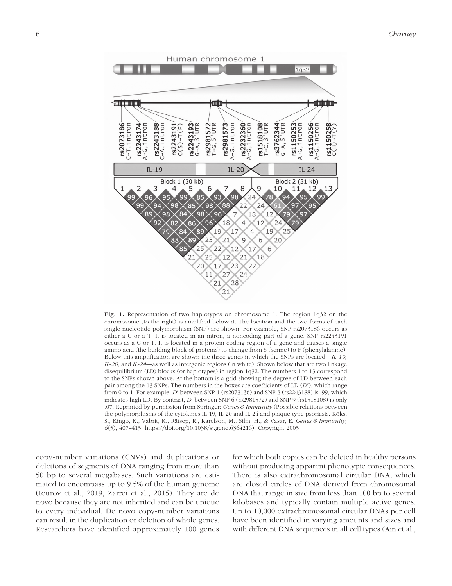

Fig. 1. Representation of two haplotypes on chromosome 1. The region 1q32 on the chromosome (to the right) is amplified below it. The location and the two forms of each single-nucleotide polymorphism (SNP) are shown. For example, SNP rs2073186 occurs as either a C or a T. It is located in an intron, a noncoding part of a gene. SNP rs2243191 occurs as a C or T. It is located in a protein-coding region of a gene and causes a single amino acid (the building block of proteins) to change from S (serine) to F (phenylalanine). Below this amplification are shown the three genes in which the SNPs are located—*IL-19, IL-20*, and *IL-24*—as well as intergenic regions (in white). Shown below that are two linkage disequilibrium (LD) blocks (or haplotypes) in region 1q32. The numbers 1 to 13 correspond to the SNPs shown above. At the bottom is a grid showing the degree of LD between each pair among the 13 SNPs. The numbers in the boxes are coefficients of LD (*D*′), which range from 0 to 1. For example, *D*′ between SNP 1 (rs2073136) and SNP 3 (rs2243188) is .99, which indicates high LD. By contrast, *D*′ between SNP 6 (rs2981572) and SNP 9 (rs1518108) is only .07. Reprinted by permission from Springer: *Genes & Immunity* (Possible relations between the polymorphisms of the cytokines IL-19, IL-20 and IL-24 and plaque-type psoriasis. Kõks, S., Kingo, K., Vabrit, K., Rätsep, R., Karelson, M., Silm, H., & Vasar, E. *Genes & Immunity, 6*(5), 407–415. [https://doi.org/10.1038/sj.gene.6364216\)](https://doi.org/10.1038/sj.gene.6364216), Copyright 2005.

copy-number variations (CNVs) and duplications or deletions of segments of DNA ranging from more than 50 bp to several megabases. Such variations are estimated to encompass up to 9.5% of the human genome (Iourov et al., 2019; Zarrei et al., 2015). They are de novo because they are not inherited and can be unique to every individual. De novo copy-number variations can result in the duplication or deletion of whole genes. Researchers have identified approximately 100 genes

for which both copies can be deleted in healthy persons without producing apparent phenotypic consequences. There is also extrachromosomal circular DNA, which are closed circles of DNA derived from chromosomal DNA that range in size from less than 100 bp to several kilobases and typically contain multiple active genes. Up to 10,000 extrachromosomal circular DNAs per cell have been identified in varying amounts and sizes and with different DNA sequences in all cell types (Ain et al.,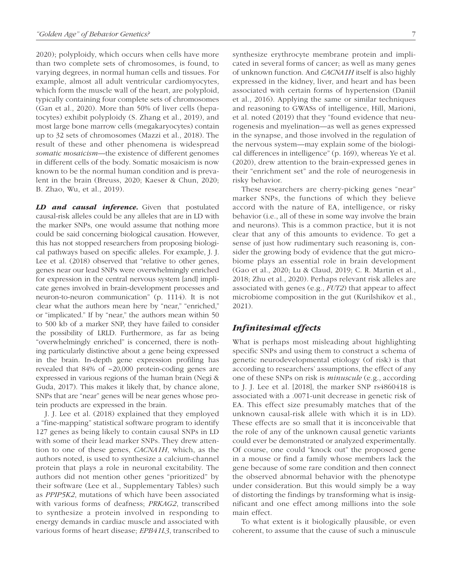2020); polyploidy, which occurs when cells have more than two complete sets of chromosomes, is found, to varying degrees, in normal human cells and tissues. For example, almost all adult ventricular cardiomyocytes, which form the muscle wall of the heart, are polyploid, typically containing four complete sets of chromosomes (Gan et al., 2020). More than 50% of liver cells (hepatocytes) exhibit polyploidy (S. Zhang et al., 2019), and most large bone marrow cells (megakaryocytes) contain up to 32 sets of chromosomes (Mazzi et al., 2018). The result of these and other phenomena is widespread *somatic mosaicism*—the existence of different genomes in different cells of the body. Somatic mosaicism is now known to be the normal human condition and is prevalent in the brain (Breuss, 2020; Kaeser & Chun, 2020; B. Zhao, Wu, et al., 2019).

*LD and causal inference.* Given that postulated causal-risk alleles could be any alleles that are in LD with the marker SNPs, one would assume that nothing more could be said concerning biological causation. However, this has not stopped researchers from proposing biological pathways based on specific alleles. For example, J. J. Lee et al. (2018) observed that "relative to other genes, genes near our lead SNPs were overwhelmingly enriched for expression in the central nervous system [and] implicate genes involved in brain-development processes and neuron-to-neuron communication" (p. 1114). It is not clear what the authors mean here by "near," "enriched," or "implicated." If by "near," the authors mean within 50 to 500 kb of a marker SNP, they have failed to consider the possibility of LRLD. Furthermore, as far as being "overwhelmingly enriched" is concerned, there is nothing particularly distinctive about a gene being expressed in the brain. In-depth gene expression profiling has revealed that 84% of ~20,000 protein-coding genes are expressed in various regions of the human brain (Negi & Guda, 2017). This makes it likely that, by chance alone, SNPs that are "near" genes will be near genes whose protein products are expressed in the brain.

J. J. Lee et al. (2018) explained that they employed a "fine-mapping" statistical software program to identify 127 genes as being likely to contain causal SNPs in LD with some of their lead marker SNPs. They drew attention to one of these genes, *CACNA1H*, which, as the authors noted, is used to synthesize a calcium-channel protein that plays a role in neuronal excitability. The authors did not mention other genes "prioritized" by their software (Lee et al., Supplementary Tables) such as *PPIP5K2*, mutations of which have been associated with various forms of deafness; *PRKAG2*, transcribed to synthesize a protein involved in responding to energy demands in cardiac muscle and associated with various forms of heart disease; *EPB41L3*, transcribed to synthesize erythrocyte membrane protein and implicated in several forms of cancer; as well as many genes of unknown function. And *CACNA1H* itself is also highly expressed in the kidney, liver, and heart and has been associated with certain forms of hypertension (Daniil et al., 2016). Applying the same or similar techniques and reasoning to GWASs of intelligence, Hill, Marioni, et al. noted (2019) that they "found evidence that neurogenesis and myelination—as well as genes expressed in the synapse, and those involved in the regulation of the nervous system—may explain some of the biological differences in intelligence" (p. 169), whereas Ye et al. (2020), drew attention to the brain-expressed genes in their "enrichment set" and the role of neurogenesis in risky behavior.

These researchers are cherry-picking genes "near" marker SNPs, the functions of which they believe accord with the nature of EA, intelligence, or risky behavior (i.e., all of these in some way involve the brain and neurons). This is a common practice, but it is not clear that any of this amounts to evidence. To get a sense of just how rudimentary such reasoning is, consider the growing body of evidence that the gut microbiome plays an essential role in brain development (Gao et al., 2020; Lu & Claud, 2019; C. R. Martin et al., 2018; Zhu et al., 2020). Perhaps relevant risk alleles are associated with genes (e.g., *FUT2*) that appear to affect microbiome composition in the gut (Kurilshikov et al., 2021).

## *Infinitesimal effects*

What is perhaps most misleading about highlighting specific SNPs and using them to construct a schema of genetic neurodevelopmental etiology (of risk) is that according to researchers' assumptions, the effect of any one of these SNPs on risk is *minuscule* (e.g., according to J. J. Lee et al. [2018], the marker SNP rs4860418 is associated with a .0071-unit decrease in genetic risk of EA. This effect size presumably matches that of the unknown causal-risk allele with which it is in LD). These effects are so small that it is inconceivable that the role of any of the unknown causal genetic variants could ever be demonstrated or analyzed experimentally. Of course, one could "knock out" the proposed gene in a mouse or find a family whose members lack the gene because of some rare condition and then connect the observed abnormal behavior with the phenotype under consideration. But this would simply be a way of distorting the findings by transforming what is insignificant and one effect among millions into the sole main effect.

To what extent is it biologically plausible, or even coherent, to assume that the cause of such a minuscule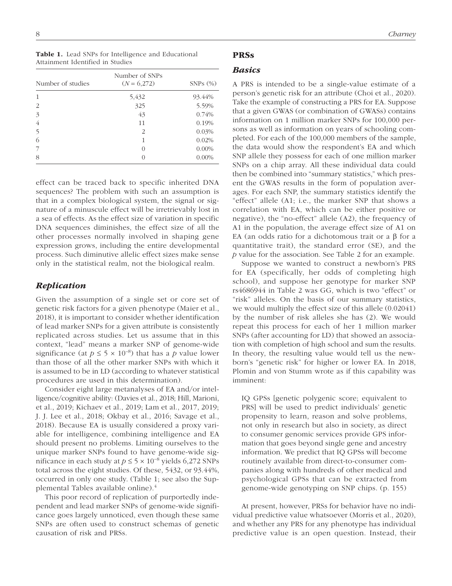Table 1. Lead SNPs for Intelligence and Educational Attainment Identified in Studies

| Number of studies | Number of SNPs<br>$(N = 6,272)$ | $SNPs$ $(\%)$ |  |  |
|-------------------|---------------------------------|---------------|--|--|
| 1                 | 5,432                           | 93.44%        |  |  |
| 2                 | 325                             | 5.59%         |  |  |
| 3                 | 43                              | 0.74%         |  |  |
| 4                 | 11                              | 0.19%         |  |  |
| 5                 | $\mathcal{P}_{\mathcal{L}}$     | 0.03%         |  |  |
| 6                 |                                 | 0.02%         |  |  |
| 7                 | 0                               | $0.00\%$      |  |  |
| 8                 |                                 | $0.00\%$      |  |  |

effect can be traced back to specific inherited DNA sequences? The problem with such an assumption is that in a complex biological system, the signal or signature of a minuscule effect will be irretrievably lost in a sea of effects. As the effect size of variation in specific DNA sequences diminishes, the effect size of all the other processes normally involved in shaping gene expression grows, including the entire developmental process. Such diminutive allelic effect sizes make sense only in the statistical realm, not the biological realm.

## *Replication*

Given the assumption of a single set or core set of genetic risk factors for a given phenotype (Maier et al., 2018), it is important to consider whether identification of lead marker SNPs for a given attribute is consistently replicated across studies. Let us assume that in this context, "lead" means a marker SNP of genome-wide significance (at  $p \le 5 \times 10^{-8}$ ) that has a *p* value lower than those of all the other marker SNPs with which it is assumed to be in LD (according to whatever statistical procedures are used in this determination).

Consider eight large metanalyses of EA and/or intelligence/cognitive ability: (Davies et al., 2018; Hill, Marioni, et al., 2019; Kichaev et al., 2019; Lam et al., 2017, 2019; J. J. Lee et al., 2018; Okbay et al., 2016; Savage et al., 2018). Because EA is usually considered a proxy variable for intelligence, combining intelligence and EA should present no problems. Limiting ourselves to the unique marker SNPs found to have genome-wide significance in each study at  $p \le 5 \times 10^{-8}$  yields 6,272 SNPs total across the eight studies. Of these, 5432, or 93.44%, occurred in only one study. (Table 1; see also the Supplemental Tables available online).4

This poor record of replication of purportedly independent and lead marker SNPs of genome-wide significance goes largely unnoticed, even though these same SNPs are often used to construct schemas of genetic causation of risk and PRSs.

# PRSs

## *Basics*

A PRS is intended to be a single-value estimate of a person's genetic risk for an attribute (Choi et al., 2020). Take the example of constructing a PRS for EA. Suppose that a given GWAS (or combination of GWASs) contains information on 1 million marker SNPs for 100,000 persons as well as information on years of schooling completed. For each of the 100,000 members of the sample, the data would show the respondent's EA and which SNP allele they possess for each of one million marker SNPs on a chip array. All these individual data could then be combined into "summary statistics," which present the GWAS results in the form of population averages. For each SNP, the summary statistics identify the "effect" allele (A1; i.e., the marker SNP that shows a correlation with EA, which can be either positive or negative), the "no-effect" allele (A2), the frequency of A1 in the population, the average effect size of A1 on EA (an odds ratio for a dichotomous trait or a β for a quantitative trait), the standard error (SE), and the *p* value for the association. See Table 2 for an example.

Suppose we wanted to construct a newborn's PRS for EA (specifically, her odds of completing high school), and suppose her genotype for marker SNP rs4686944 in Table 2 was GG, which is two "effect" or "risk" alleles. On the basis of our summary statistics, we would multiply the effect size of this allele (0.02041) by the number of risk alleles she has (2). We would repeat this process for each of her 1 million marker SNPs (after accounting for LD) that showed an association with completion of high school and sum the results. In theory, the resulting value would tell us the newborn's "genetic risk" for higher or lower EA. In 2018, Plomin and von Stumm wrote as if this capability was imminent:

IQ GPSs [genetic polygenic score; equivalent to PRS] will be used to predict individuals' genetic propensity to learn, reason and solve problems, not only in research but also in society, as direct to consumer genomic services provide GPS information that goes beyond single gene and ancestry information. We predict that IQ GPSs will become routinely available from direct-to-consumer companies along with hundreds of other medical and psychological GPSs that can be extracted from genome-wide genotyping on SNP chips. (p. 155)

At present, however, PRSs for behavior have no individual predictive value whatsoever (Morris et al., 2020), and whether any PRS for any phenotype has individual predictive value is an open question. Instead, their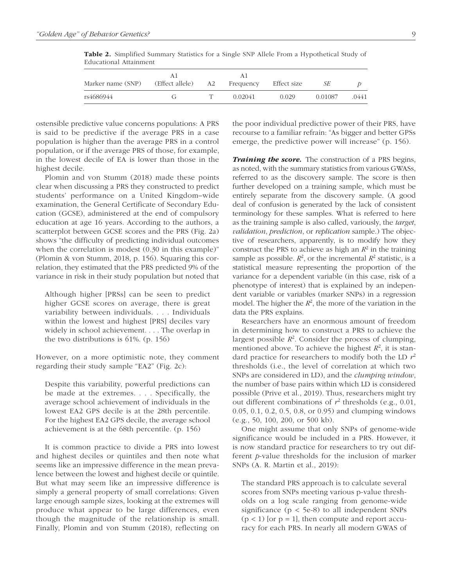| Table 2. Simplified Summary Statistics for a Single SNP Allele From a Hypothetical Study of |  |  |  |  |  |
|---------------------------------------------------------------------------------------------|--|--|--|--|--|
| Educational Attainment                                                                      |  |  |  |  |  |
|                                                                                             |  |  |  |  |  |

| Marker name (SNP) | (Effect allele) | A2 | Frequency | Effect size | SЕ      |       |
|-------------------|-----------------|----|-----------|-------------|---------|-------|
| rs4686944         |                 |    | 0.02041   | 0.029       | 0.01087 | .0441 |

ostensible predictive value concerns populations: A PRS is said to be predictive if the average PRS in a case population is higher than the average PRS in a control population, or if the average PRS of those, for example, in the lowest decile of EA is lower than those in the highest decile.

Plomin and von Stumm (2018) made these points clear when discussing a PRS they constructed to predict students' performance on a United Kingdom–wide examination, the General Certificate of Secondary Education (GCSE), administered at the end of compulsory education at age 16 years. According to the authors, a scatterplot between GCSE scores and the PRS (Fig. 2a) shows "the difficulty of predicting individual outcomes when the correlation is modest  $(0.30 \text{ in this example})$ " (Plomin & von Stumm, 2018, p. 156). Squaring this correlation, they estimated that the PRS predicted 9% of the variance in risk in their study population but noted that

Although higher [PRSs] can be seen to predict higher GCSE scores on average, there is great variability between individuals. . . . Individuals within the lowest and highest [PRS] deciles vary widely in school achievement. . . . The overlap in the two distributions is 61%. (p. 156)

However, on a more optimistic note, they comment regarding their study sample "EA2" (Fig. 2c):

Despite this variability, powerful predictions can be made at the extremes. . . . Specifically, the average school achievement of individuals in the lowest EA2 GPS decile is at the 28th percentile. For the highest EA2 GPS decile, the average school achievement is at the 68th percentile. (p. 156)

It is common practice to divide a PRS into lowest and highest deciles or quintiles and then note what seems like an impressive difference in the mean prevalence between the lowest and highest decile or quintile. But what may seem like an impressive difference is simply a general property of small correlations: Given large enough sample sizes, looking at the extremes will produce what appear to be large differences, even though the magnitude of the relationship is small. Finally, Plomin and von Stumm (2018), reflecting on the poor individual predictive power of their PRS, have recourse to a familiar refrain: "As bigger and better GPSs emerge, the predictive power will increase" (p. 156).

*Training the score.* The construction of a PRS begins, as noted, with the summary statistics from various GWASs, referred to as the discovery sample. The score is then further developed on a training sample, which must be entirely separate from the discovery sample. (A good deal of confusion is generated by the lack of consistent terminology for these samples. What is referred to here as the training sample is also called, variously, the *target*, *validation*, *prediction*, or *replication* sample.) The objective of researchers, apparently, is to modify how they construct the PRS to achieve as high an  $R^2$  in the training sample as possible.  $R^2$ , or the incremental  $R^2$  statistic, is a statistical measure representing the proportion of the variance for a dependent variable (in this case, risk of a phenotype of interest) that is explained by an independent variable or variables (marker SNPs) in a regression model. The higher the  $R^2$ , the more of the variation in the data the PRS explains.

Researchers have an enormous amount of freedom in determining how to construct a PRS to achieve the largest possible  $R^2$ . Consider the process of clumping, mentioned above. To achieve the highest  $R^2$ , it is standard practice for researchers to modify both the LD *r*<sup>2</sup> thresholds (i.e., the level of correlation at which two SNPs are considered in LD), and the *clumping window*, the number of base pairs within which LD is considered possible (Prive et al., 2019). Thus, researchers might try out different combinations of  $r^2$  thresholds (e.g., 0.01, 0.05, 0.1, 0.2, 0.5, 0.8, or 0.95) and clumping windows (e.g., 50, 100, 200, or 500 kb).

One might assume that only SNPs of genome-wide significance would be included in a PRS. However, it is now standard practice for researchers to try out different *p*-value thresholds for the inclusion of marker SNPs (A. R. Martin et al., 2019):

The standard PRS approach is to calculate several scores from SNPs meeting various p-value thresholds on a log scale ranging from genome-wide significance (p < 5e-8) to all independent SNPs  $(p < 1)$  [or  $p = 1$ ], then compute and report accuracy for each PRS. In nearly all modern GWAS of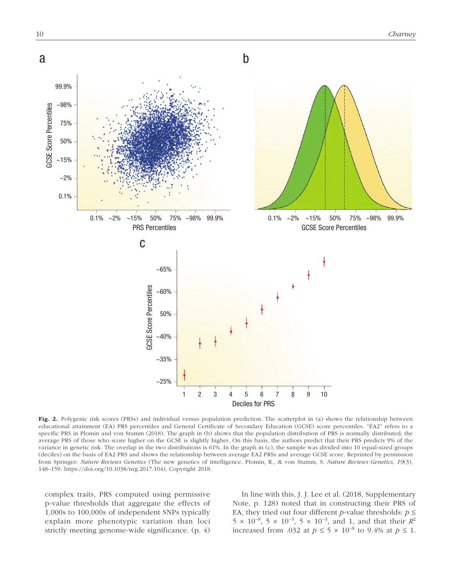

Fig. 2. Polygenic risk scores (PRSs) and individual versus population prediction. The scatterplot in (a) shows the relationship between educational attainment (EA) PRS percentiles and General Certificate of Secondary Education (GCSE) score percentiles. "EA2" refers to a specific PRS in Plomin and von Stumm (2018). The graph in (b) shows that the population distribution of PRS is normally distributed; the average PRS of those who score higher on the GCSE is slightly higher. On this basis, the authors predict that their PRS predicts 9% of the variance in genetic risk. The overlap in the two distributions is 61%. In the graph in (c), the sample was divided into 10 equal-sized groups (deciles) on the basis of EA2 PRS and shows the relationship between average EA2 PRSs and average GCSE score. Reprinted by permission from Springer: *Nature Reviews Genetics* (The new genetics of intelligence. Plomin, R., & von Stumm, S. *Nature Reviews Genetics, 19*(3), 148–159. [https://doi.org/10.1038/nrg.2017.104\)](https://doi.org/10.1038/nrg.2017.104), Copyright 2018.

complex traits, PRS computed using permissive p-value thresholds that aggregate the effects of 1,000s to 100,000s of independent SNPs typically explain more phenotypic variation than loci strictly meeting genome-wide significance. (p. 4)

In line with this, J. J. Lee et al. (2018, Supplementary Note, p. 128) noted that in constructing their PRS of EA, they tried out four different *p*-value thresholds:  $p \leq$ 5 × 10<sup>-8</sup>, 5 × 10<sup>-5</sup>, 5 × 10<sup>-3</sup>, and 1, and that their  $R^2$ increased from .032 at  $p \le 5 \times 10^{-8}$  to 9.4% at  $p \le 1$ .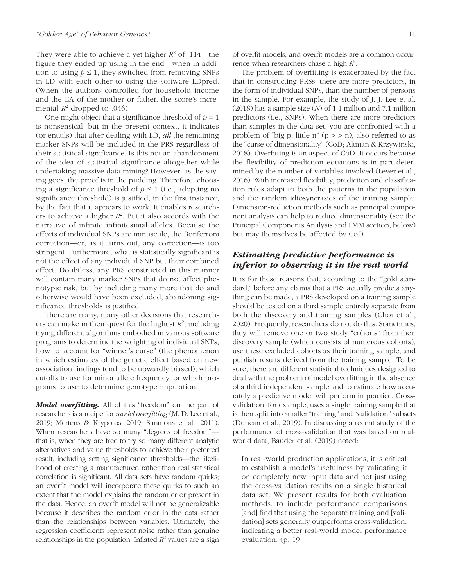They were able to achieve a yet higher  $R^2$  of .114—the figure they ended up using in the end—when in addition to using  $p \leq 1$ , they switched from removing SNPs in LD with each other to using the software LDpred. (When the authors controlled for household income and the EA of the mother or father, the score's incremental  $R^2$  dropped to .046).

One might object that a significance threshold of  $p = 1$ is nonsensical, but in the present context, it indicates (or entails) that after dealing with LD, *all* the remaining marker SNPs will be included in the PRS regardless of their statistical significance. Is this not an abandonment of the idea of statistical significance altogether while undertaking massive data mining? However, as the saying goes, the proof is in the pudding. Therefore, choosing a significance threshold of  $p \le 1$  (i.e., adopting no significance threshold) is justified, in the first instance, by the fact that it appears to work. It enables researchers to achieve a higher  $R^2$ . But it also accords with the narrative of infinite infinitesimal alleles. Because the effects of individual SNPs are minuscule, the Bonferroni correction—or, as it turns out, any correction—is too stringent. Furthermore, what is statistically significant is not the effect of any individual SNP but their combined effect. Doubtless, any PRS constructed in this manner will contain many marker SNPs that do not affect phenotypic risk, but by including many more that do and otherwise would have been excluded, abandoning significance thresholds is justified.

There are many, many other decisions that researchers can make in their quest for the highest  $R^2$ , including trying different algorithms embodied in various software programs to determine the weighting of individual SNPs, how to account for "winner's curse" (the phenomenon in which estimates of the genetic effect based on new association findings tend to be upwardly biased), which cutoffs to use for minor allele frequency, or which programs to use to determine genotype imputation.

*Model overfitting.* All of this "freedom" on the part of researchers is a recipe for *model overfitting* (M. D. Lee et al., 2019; Mertens & Krypotos, 2019; Simmons et al., 2011). When researchers have so many "degrees of freedom" that is, when they are free to try so many different analytic alternatives and value thresholds to achieve their preferred result, including setting significance thresholds—the likelihood of creating a manufactured rather than real statistical correlation is significant. All data sets have random quirks; an overfit model will incorporate these quirks to such an extent that the model explains the random error present in the data. Hence, an overfit model will not be generalizable because it describes the random error in the data rather than the relationships between variables. Ultimately, the regression coefficients represent noise rather than genuine relationships in the population. Inflated  $R^2$  values are a sign of overfit models, and overfit models are a common occurrence when researchers chase a high  $R^2$ .

The problem of overfitting is exacerbated by the fact that in constructing PRSs, there are more predictors, in the form of individual SNPs, than the number of persons in the sample. For example, the study of J. J. Lee et al. (2018) has a sample size (*N*) of 1.1 million and 7.1 million predictors (i.e., SNPs). When there are more predictors than samples in the data set, you are confronted with a problem of "big-p, little-n"  $(p \gt\gt)$  n), also referred to as the "curse of dimensionality" (CoD; Altman & Krzywinski, 2018). Overfitting is an aspect of CoD. It occurs because the flexibility of prediction equations is in part determined by the number of variables involved (Lever et al., 2016). With increased flexibility, prediction and classification rules adapt to both the patterns in the population and the random idiosyncrasies of the training sample. Dimension-reduction methods such as principal component analysis can help to reduce dimensionality (see the Principal Components Analysis and LMM section, below) but may themselves be affected by CoD.

# *Estimating predictive performance is inferior to observing it in the real world*

It is for these reasons that, according to the "gold standard," before any claims that a PRS actually predicts anything can be made, a PRS developed on a training sample should be tested on a third sample entirely separate from both the discovery and training samples (Choi et al., 2020). Frequently, researchers do not do this. Sometimes, they will remove one or two study "cohorts" from their discovery sample (which consists of numerous cohorts), use these excluded cohorts as their training sample, and publish results derived from the training sample. To be sure, there are different statistical techniques designed to deal with the problem of model overfitting in the absence of a third independent sample and to estimate how accurately a predictive model will perform in practice. Crossvalidation, for example, uses a single training sample that is then split into smaller "training" and "validation" subsets (Duncan et al., 2019). In discussing a recent study of the performance of cross-validation that was based on realworld data, Bauder et al. (2019) noted:

In real-world production applications, it is critical to establish a model's usefulness by validating it on completely new input data and not just using the cross-validation results on a single historical data set. We present results for both evaluation methods, to include performance comparisons [and] find that using the separate training and [validation] sets generally outperforms cross-validation, indicating a better real-world model performance evaluation. (p. 19)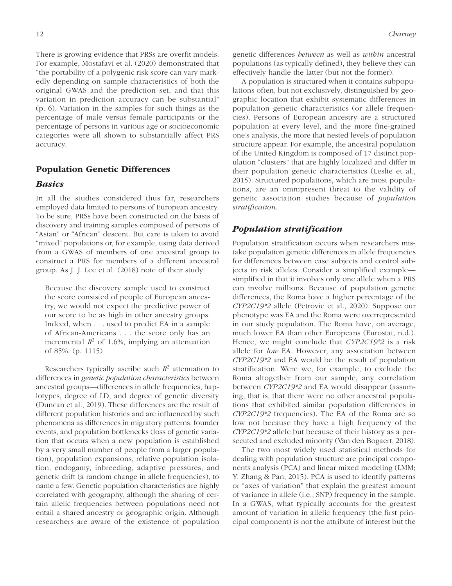There is growing evidence that PRSs are overfit models. For example, Mostafavi et al. (2020) demonstrated that "the portability of a polygenic risk score can vary markedly depending on sample characteristics of both the original GWAS and the prediction set, and that this variation in prediction accuracy can be substantial" (p. 6). Variation in the samples for such things as the percentage of male versus female participants or the percentage of persons in various age or socioeconomic categories were all shown to substantially affect PRS accuracy.

## Population Genetic Differences

## *Basics*

In all the studies considered thus far, researchers employed data limited to persons of European ancestry. To be sure, PRSs have been constructed on the basis of discovery and training samples composed of persons of "Asian" or "African" descent. But care is taken to avoid "mixed" populations or, for example, using data derived from a GWAS of members of one ancestral group to construct a PRS for members of a different ancestral group. As J. J. Lee et al. (2018) note of their study:

Because the discovery sample used to construct the score consisted of people of European ancestry, we would not expect the predictive power of our score to be as high in other ancestry groups. Indeed, when . . . used to predict EA in a sample of African-Americans . . . the score only has an incremental  $R^2$  of 1.6%, implying an attenuation of 85%. (p. 1115)

Researchers typically ascribe such  $R<sup>2</sup>$  attenuation to differences in *genetic population characteristics* between ancestral groups—differences in allele frequencies, haplotypes, degree of LD, and degree of genetic diversity (Duncan et al., 2019). These differences are the result of different population histories and are influenced by such phenomena as differences in migratory patterns, founder events, and population bottlenecks (loss of genetic variation that occurs when a new population is established by a very small number of people from a larger population), population expansions, relative population isolation, endogamy, inbreeding, adaptive pressures, and genetic drift (a random change in allele frequencies), to name a few. Genetic population characteristics are highly correlated with geography, although the sharing of certain allelic frequencies between populations need not entail a shared ancestry or geographic origin. Although researchers are aware of the existence of population

genetic differences *between* as well as *within* ancestral populations (as typically defined), they believe they can effectively handle the latter (but not the former).

A population is structured when it contains subpopulations often, but not exclusively, distinguished by geographic location that exhibit systematic differences in population genetic characteristics (or allele frequencies). Persons of European ancestry are a structured population at every level, and the more fine-grained one's analysis, the more that nested levels of population structure appear. For example, the ancestral population of the United Kingdom is composed of 17 distinct population "clusters" that are highly localized and differ in their population genetic characteristics (Leslie et al., 2015). Structured populations, which are most populations, are an omnipresent threat to the validity of genetic association studies because of *population stratification*.

# *Population stratification*

Population stratification occurs when researchers mistake population genetic differences in allele frequencies for differences between case subjects and control subjects in risk alleles. Consider a simplified example simplified in that it involves only one allele when a PRS can involve millions. Because of population genetic differences, the Roma have a higher percentage of the *CYP2C19\*2* allele (Petrovic et al., 2020). Suppose our phenotype was EA and the Roma were overrepresented in our study population. The Roma have, on average, much lower EA than other Europeans (Eurostat, n.d.). Hence, we might conclude that *CYP2C19\*2* is a risk allele for *low* EA. However, any association between *CYP2C19\*2* and EA would be the result of population stratification. Were we, for example, to exclude the Roma altogether from our sample, any correlation between *CYP2C19\*2* and EA would disappear (assuming, that is, that there were no other ancestral populations that exhibited similar population differences in *CYP2C19\*2* frequencies). The EA of the Roma are so low not because they have a high frequency of the *CYP2C19\*2* allele but because of their history as a persecuted and excluded minority (Van den Bogaert, 2018).

The two most widely used statistical methods for dealing with population structure are principal components analysis (PCA) and linear mixed modeling (LMM; Y. Zhang & Pan, 2015). PCA is used to identify patterns or "axes of variation" that explain the greatest amount of variance in allele (i.e., SNP) frequency in the sample. In a GWAS, what typically accounts for the greatest amount of variation in allelic frequency (the first principal component) is not the attribute of interest but the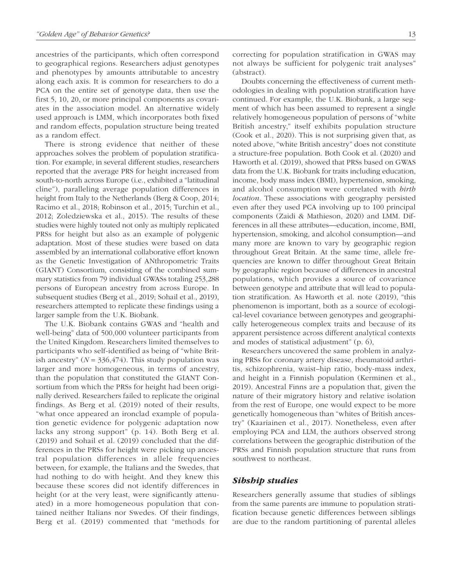ancestries of the participants, which often correspond to geographical regions. Researchers adjust genotypes and phenotypes by amounts attributable to ancestry along each axis. It is common for researchers to do a PCA on the entire set of genotype data, then use the first 5, 10, 20, or more principal components as covariates in the association model. An alternative widely used approach is LMM, which incorporates both fixed and random effects, population structure being treated as a random effect.

There is strong evidence that neither of these approaches solves the problem of population stratification. For example, in several different studies, researchers reported that the average PRS for height increased from south-to-north across Europe (i.e., exhibited a "latitudinal cline"), paralleling average population differences in height from Italy to the Netherlands (Berg & Coop, 2014; Racimo et al., 2018; Robinson et al., 2015; Turchin et al., 2012; Zoledziewska et al., 2015). The results of these studies were highly touted not only as multiply replicated PRSs for height but also as an example of polygenic adaptation. Most of these studies were based on data assembled by an international collaborative effort known as the Genetic Investigation of ANthropometric Traits (GIANT) Consortium, consisting of the combined summary statistics from 79 individual GWASs totaling 253,288 persons of European ancestry from across Europe. In subsequent studies (Berg et al., 2019; Sohail et al., 2019), researchers attempted to replicate these findings using a larger sample from the U.K. Biobank.

The U.K. Biobank contains GWAS and "health and well-being" data of 500,000 volunteer participants from the United Kingdom. Researchers limited themselves to participants who self-identified as being of "white British ancestry"  $(N = 336, 474)$ . This study population was larger and more homogeneous, in terms of ancestry, than the population that constituted the GIANT Consortium from which the PRSs for height had been originally derived. Researchers failed to replicate the original findings. As Berg et al. (2019) noted of their results, "what once appeared an ironclad example of population genetic evidence for polygenic adaptation now lacks any strong support" (p. 14). Both Berg et al. (2019) and Sohail et al. (2019) concluded that the differences in the PRSs for height were picking up ancestral population differences in allele frequencies between, for example, the Italians and the Swedes, that had nothing to do with height. And they knew this because these scores did not identify differences in height (or at the very least, were significantly attenuated) in a more homogeneous population that contained neither Italians nor Swedes. Of their findings, Berg et al. (2019) commented that "methods for correcting for population stratification in GWAS may not always be sufficient for polygenic trait analyses" (abstract).

Doubts concerning the effectiveness of current methodologies in dealing with population stratification have continued. For example, the U.K. Biobank, a large segment of which has been assumed to represent a single relatively homogeneous population of persons of "white British ancestry," itself exhibits population structure (Cook et al., 2020). This is not surprising given that, as noted above, "white British ancestry" does not constitute a structure-free population. Both Cook et al. (2020) and Haworth et al. (2019), showed that PRSs based on GWAS data from the U.K. Biobank for traits including education, income, body mass index (BMI), hypertension, smoking, and alcohol consumption were correlated with *birth location*. These associations with geography persisted even after they used PCA involving up to 100 principal components (Zaidi & Mathieson, 2020) and LMM. Differences in all these attributes—education, income, BMI, hypertension, smoking, and alcohol consumption—and many more are known to vary by geographic region throughout Great Britain. At the same time, allele frequencies are known to differ throughout Great Britain by geographic region because of differences in ancestral populations, which provides a source of covariance between genotype and attribute that will lead to population stratification. As Haworth et al. note (2019), "this phenomenon is important, both as a source of ecological-level covariance between genotypes and geographically heterogeneous complex traits and because of its apparent persistence across different analytical contexts and modes of statistical adjustment" (p. 6),

Researchers uncovered the same problem in analyzing PRSs for coronary artery disease, rheumatoid arthritis, schizophrenia, waist–hip ratio, body-mass index, and height in a Finnish population (Kerminen et al., 2019). Ancestral Finns are a population that, given the nature of their migratory history and relative isolation from the rest of Europe, one would expect to be more genetically homogeneous than "whites of British ancestry" (Kaariainen et al., 2017). Nonetheless, even after employing PCA and LLM, the authors observed strong correlations between the geographic distribution of the PRSs and Finnish population structure that runs from southwest to northeast.

## *Sibship studies*

Researchers generally assume that studies of siblings from the same parents are immune to population stratification because genetic differences between siblings are due to the random partitioning of parental alleles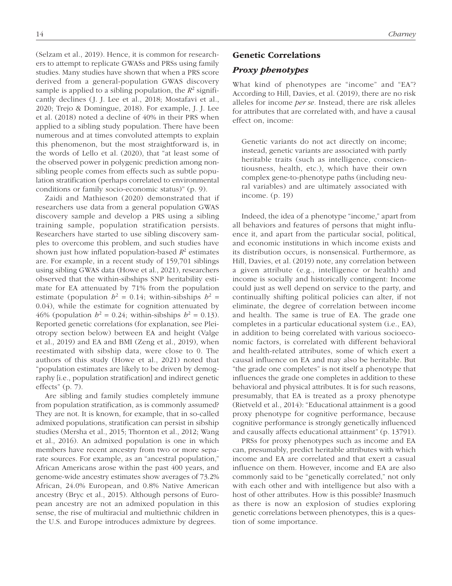ers to attempt to replicate GWASs and PRSs using family studies. Many studies have shown that when a PRS score derived from a general-population GWAS discovery sample is applied to a sibling population, the  $R^2$  significantly declines (J. J. Lee et al., 2018; Mostafavi et al., 2020; Trejo & Domingue, 2018). For example, J. J. Lee et al. (2018) noted a decline of 40% in their PRS when applied to a sibling study population. There have been numerous and at times convoluted attempts to explain this phenomenon, but the most straightforward is, in the words of Lello et al. (2020), that "at least some of the observed power in polygenic prediction among nonsibling people comes from effects such as subtle population stratification (perhaps correlated to environmental conditions or family socio-economic status)" (p. 9).

(Selzam et al., 2019). Hence, it is common for research-

Zaidi and Mathieson (2020) demonstrated that if researchers use data from a general population GWAS discovery sample and develop a PRS using a sibling training sample, population stratification persists. Researchers have started to use sibling discovery samples to overcome this problem, and such studies have shown just how inflated population-based  $R^2$  estimates are. For example, in a recent study of 159,701 siblings using sibling GWAS data (Howe et al., 2021), researchers observed that the within-sibships SNP heritability estimate for EA attenuated by 71% from the population estimate (population  $h^2 = 0.14$ ; within-sibships  $h^2 =$ 0.04), while the estimate for cognition attenuated by 46% (population  $h^2 = 0.24$ ; within-sibships  $h^2 = 0.13$ ). Reported genetic correlations (for explanation, see Pleiotropy section below) between EA and height (Valge et al., 2019) and EA and BMI (Zeng et al., 2019), when reestimated with sibship data, were close to 0. The authors of this study (Howe et al., 2021) noted that "population estimates are likely to be driven by demography [i.e., population stratification] and indirect genetic effects" (p. 7).

Are sibling and family studies completely immune from population stratification, as is commonly assumed? They are not. It is known, for example, that in so-called admixed populations, stratification can persist in sibship studies (Mersha et al., 2015; Thornton et al., 2012; Wang et al., 2016). An admixed population is one in which members have recent ancestry from two or more separate sources. For example, as an "ancestral population," African Americans arose within the past 400 years, and genome-wide ancestry estimates show averages of 73.2% African, 24.0% European, and 0.8% Native American ancestry (Bryc et al., 2015). Although persons of European ancestry are not an admixed population in this sense, the rise of multiracial and multiethnic children in the U.S. and Europe introduces admixture by degrees.

What kind of phenotypes are "income" and "EA"? According to Hill, Davies, et al. (2019), there are no risk alleles for income *per se.* Instead, there are risk alleles for attributes that are correlated with, and have a causal effect on, income:

Genetic variants do not act directly on income; instead, genetic variants are associated with partly heritable traits (such as intelligence, conscientiousness, health, etc.), which have their own complex gene-to-phenotype paths (including neural variables) and are ultimately associated with income. (p. 19)

Indeed, the idea of a phenotype "income," apart from all behaviors and features of persons that might influence it, and apart from the particular social, political, and economic institutions in which income exists and its distribution occurs, is nonsensical. Furthermore, as Hill, Davies, et al. (2019) note, any correlation between a given attribute (e.g., intelligence or health) and income is socially and historically contingent: Income could just as well depend on service to the party, and continually shifting political policies can alter, if not eliminate, the degree of correlation between income and health. The same is true of EA. The grade one completes in a particular educational system (i.e., EA), in addition to being correlated with various socioeconomic factors, is correlated with different behavioral and health-related attributes, some of which exert a causal influence on EA and may also be heritable. But "the grade one completes" is not itself a phenotype that influences the grade one completes in addition to these behavioral and physical attributes. It is for such reasons, presumably, that EA is treated as a proxy phenotype (Rietveld et al., 2014): "Educational attainment is a good proxy phenotype for cognitive performance, because cognitive performance is strongly genetically influenced and causally affects educational attainment" (p. 13791).

PRSs for proxy phenotypes such as income and EA can, presumably, predict heritable attributes with which income and EA are correlated and that exert a casual influence on them. However, income and EA are also commonly said to be "genetically correlated," not only with each other and with intelligence but also with a host of other attributes. How is this possible? Inasmuch as there is now an explosion of studies exploring genetic correlations between phenotypes, this is a question of some importance.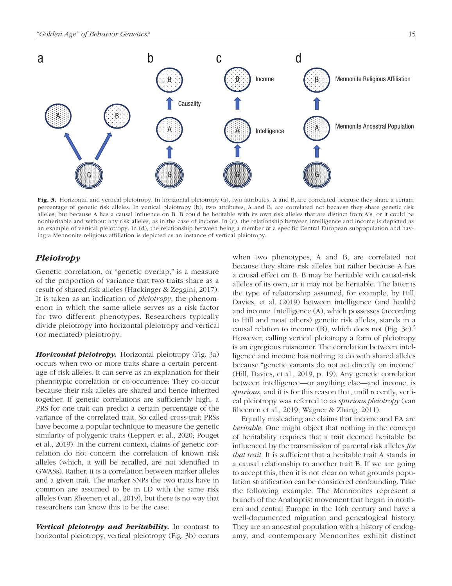

Fig. 3. Horizontal and vertical pleiotropy. In horizontal pleiotropy (a), two attributes, A and B, are correlated because they share a certain percentage of genetic risk alleles. In vertical pleiotropy (b), two attributes, A and B, are correlated not because they share genetic risk alleles, but because A has a causal influence on B. B could be heritable with its own risk alleles that are distinct from A's, or it could be nonheritable and without any risk alleles, as in the case of income. In (c), the relationship between intelligence and income is depicted as an example of vertical pleiotropy. In (d), the relationship between being a member of a specific Central European subpopulation and having a Mennonite religious affiliation is depicted as an instance of vertical pleiotropy.

# *Pleiotropy*

Genetic correlation, or "genetic overlap," is a measure of the proportion of variance that two traits share as a result of shared risk alleles (Hackinger & Zeggini, 2017). It is taken as an indication of *pleiotropy*, the phenomenon in which the same allele serves as a risk factor for two different phenotypes. Researchers typically divide pleiotropy into horizontal pleiotropy and vertical (or mediated) pleiotropy.

*Horizontal pleiotropy.* Horizontal pleiotropy (Fig. 3a) occurs when two or more traits share a certain percentage of risk alleles. It can serve as an explanation for their phenotypic correlation or co-occurrence: They co-occur because their risk alleles are shared and hence inherited together. If genetic correlations are sufficiently high, a PRS for one trait can predict a certain percentage of the variance of the correlated trait. So called cross-trait PRSs have become a popular technique to measure the genetic similarity of polygenic traits (Leppert et al., 2020; Pouget et al., 2019). In the current context, claims of genetic correlation do not concern the correlation of known risk alleles (which, it will be recalled, are not identified in GWASs). Rather, it is a correlation between marker alleles and a given trait. The marker SNPs the two traits have in common are assumed to be in LD with the same risk alleles (van Rheenen et al., 2019), but there is no way that researchers can know this to be the case.

*Vertical pleiotropy and heritability.* In contrast to horizontal pleiotropy, vertical pleiotropy (Fig. 3b) occurs when two phenotypes, A and B, are correlated not because they share risk alleles but rather because A has a causal effect on B. B may be heritable with causal-risk alleles of its own, or it may not be heritable. The latter is the type of relationship assumed, for example, by Hill, Davies, et al. (2019) between intelligence (and health) and income. Intelligence (A), which possesses (according to Hill and most others) genetic risk alleles, stands in a causal relation to income (B), which does not (Fig. 3c).5 However, calling vertical pleiotropy a form of pleiotropy is an egregious misnomer. The correlation between intelligence and income has nothing to do with shared alleles because "genetic variants do not act directly on income" (Hill, Davies, et al., 2019, p. 19). Any genetic correlation between intelligence—or anything else—and income, is *spurious*, and it is for this reason that, until recently, vertical pleiotropy was referred to as *spurious pleiotropy* (van Rheenen et al., 2019; Wagner & Zhang, 2011).

Equally misleading are claims that income and EA are *heritable*. One might object that nothing in the concept of heritability requires that a trait deemed heritable be influenced by the transmission of parental risk alleles *for that trait*. It is sufficient that a heritable trait A stands in a causal relationship to another trait B. If we are going to accept this, then it is not clear on what grounds population stratification can be considered confounding. Take the following example. The Mennonites represent a branch of the Anabaptist movement that began in northern and central Europe in the 16th century and have a well-documented migration and genealogical history. They are an ancestral population with a history of endogamy, and contemporary Mennonites exhibit distinct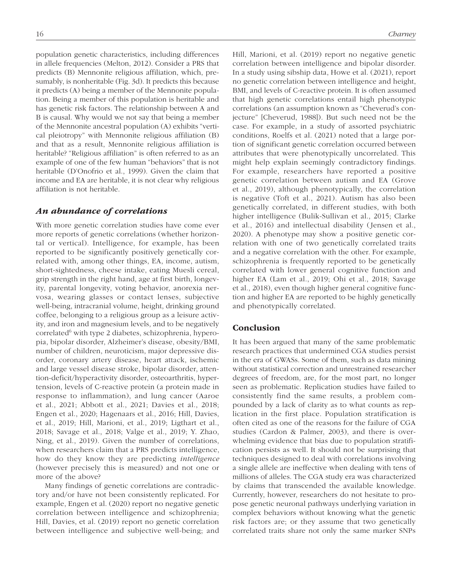population genetic characteristics, including differences in allele frequencies (Melton, 2012). Consider a PRS that predicts (B) Mennonite religious affiliation, which, presumably, is nonheritable (Fig. 3d). It predicts this because it predicts (A) being a member of the Mennonite population. Being a member of this population is heritable and has genetic risk factors. The relationship between A and B is causal. Why would we not say that being a member of the Mennonite ancestral population (A) exhibits "vertical pleiotropy" with Mennonite religious affiliation (B) and that as a result, Mennonite religious affiliation is heritable? "Religious affiliation" is often referred to as an example of one of the few human "behaviors" that is not heritable (D'Onofrio et al., 1999). Given the claim that income and EA are heritable, it is not clear why religious affiliation is not heritable.

## *An abundance of correlations*

With more genetic correlation studies have come ever more reports of genetic correlations (whether horizontal or vertical). Intelligence, for example, has been reported to be significantly positively genetically correlated with, among other things, EA, income, autism, short-sightedness, cheese intake, eating Muesli cereal, grip strength in the right hand, age at first birth, longevity, parental longevity, voting behavior, anorexia nervosa, wearing glasses or contact lenses, subjective well-being, intracranial volume, height, drinking ground coffee, belonging to a religious group as a leisure activity, and iron and magnesium levels, and to be negatively correlated<sup>6</sup> with type 2 diabetes, schizophrenia, hyperopia, bipolar disorder, Alzheimer's disease, obesity/BMI, number of children, neuroticism, major depressive disorder, coronary artery disease, heart attack, ischemic and large vessel disease stroke, bipolar disorder, attention-deficit/hyperactivity disorder, osteoarthritis, hypertension, levels of C-reactive protein (a protein made in response to inflammation), and lung cancer (Aaroe et al., 2021; Abbott et al., 2021; Davies et al., 2018; Engen et al., 2020; Hagenaars et al., 2016; Hill, Davies, et al., 2019; Hill, Marioni, et al., 2019; Ligthart et al., 2018; Savage et al., 2018; Valge et al., 2019; Y. Zhao, Ning, et al., 2019). Given the number of correlations, when researchers claim that a PRS predicts intelligence, how do they know they are predicting *intelligence* (however precisely this is measured) and not one or more of the above?

Many findings of genetic correlations are contradictory and/or have not been consistently replicated. For example, Engen et al. (2020) report no negative genetic correlation between intelligence and schizophrenia; Hill, Davies, et al. (2019) report no genetic correlation between intelligence and subjective well-being; and Hill, Marioni, et al. (2019) report no negative genetic correlation between intelligence and bipolar disorder. In a study using sibship data, Howe et al. (2021), report no genetic correlation between intelligence and height, BMI, and levels of C-reactive protein. It is often assumed that high genetic correlations entail high phenotypic correlations (an assumption known as "Cheverud's conjecture" [Cheverud, 1988]). But such need not be the case. For example, in a study of assorted psychiatric conditions, Roelfs et al. (2021) noted that a large portion of significant genetic correlation occurred between attributes that were phenotypically uncorrelated. This might help explain seemingly contradictory findings. For example, researchers have reported a positive genetic correlation between autism and EA (Grove et al., 2019), although phenotypically, the correlation is negative (Toft et al., 2021). Autism has also been genetically correlated, in different studies, with both higher intelligence (Bulik-Sullivan et al., 2015; Clarke et al., 2016) and intellectual disability (Jensen et al., 2020). A phenotype may show a positive genetic correlation with one of two genetically correlated traits and a negative correlation with the other. For example, schizophrenia is frequently reported to be genetically correlated with lower general cognitive function and higher EA (Lam et al., 2019; Ohi et al., 2018; Savage et al., 2018), even though higher general cognitive function and higher EA are reported to be highly genetically and phenotypically correlated.

### Conclusion

It has been argued that many of the same problematic research practices that undermined CGA studies persist in the era of GWASs. Some of them, such as data mining without statistical correction and unrestrained researcher degrees of freedom, are, for the most part, no longer seen as problematic. Replication studies have failed to consistently find the same results, a problem compounded by a lack of clarity as to what counts as replication in the first place. Population stratification is often cited as one of the reasons for the failure of CGA studies (Cardon & Palmer, 2003), and there is overwhelming evidence that bias due to population stratification persists as well. It should not be surprising that techniques designed to deal with correlations involving a single allele are ineffective when dealing with tens of millions of alleles. The CGA study era was characterized by claims that transcended the available knowledge. Currently, however, researchers do not hesitate to propose genetic neuronal pathways underlying variation in complex behaviors without knowing what the genetic risk factors are; or they assume that two genetically correlated traits share not only the same marker SNPs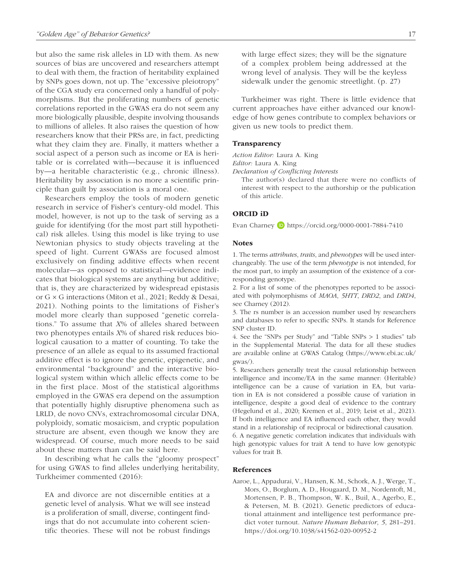but also the same risk alleles in LD with them. As new sources of bias are uncovered and researchers attempt to deal with them, the fraction of heritability explained by SNPs goes down, not up. The "excessive pleiotropy" of the CGA study era concerned only a handful of polymorphisms. But the proliferating numbers of genetic correlations reported in the GWAS era do not seem any more biologically plausible, despite involving thousands to millions of alleles. It also raises the question of how researchers know that their PRSs are, in fact, predicting what they claim they are. Finally, it matters whether a social aspect of a person such as income or EA is heritable or is correlated with—because it is influenced by—a heritable characteristic (e.g., chronic illness). Heritability by association is no more a scientific principle than guilt by association is a moral one.

Researchers employ the tools of modern genetic research in service of Fisher's century-old model. This model, however, is not up to the task of serving as a guide for identifying (for the most part still hypothetical) risk alleles. Using this model is like trying to use Newtonian physics to study objects traveling at the speed of light. Current GWASs are focused almost exclusively on finding additive effects when recent molecular—as opposed to statistical—evidence indicates that biological systems are anything but additive; that is, they are characterized by widespread epistasis or G × G interactions (Miton et al., 2021; Reddy & Desai, 2021). Nothing points to the limitations of Fisher's model more clearly than supposed "genetic correlations." To assume that *X*% of alleles shared between two phenotypes entails *X*% of shared risk reduces biological causation to a matter of counting. To take the presence of an allele as equal to its assumed fractional additive effect is to ignore the genetic, epigenetic, and environmental "background" and the interactive biological system within which allelic effects come to be in the first place. Most of the statistical algorithms employed in the GWAS era depend on the assumption that potentially highly disruptive phenomena such as LRLD, de novo CNVs, extrachromosomal circular DNA, polyploidy, somatic mosaicism, and cryptic population structure are absent, even though we know they are widespread. Of course, much more needs to be said about these matters than can be said here.

In describing what he calls the "gloomy prospect" for using GWAS to find alleles underlying heritability, Turkheimer commented (2016):

EA and divorce are not discernible entities at a genetic level of analysis. What we will see instead is a proliferation of small, diverse, contingent findings that do not accumulate into coherent scientific theories. These will not be robust findings

Turkheimer was right. There is little evidence that current approaches have either advanced our knowledge of how genes contribute to complex behaviors or given us new tools to predict them.

#### Transparency

*Action Editor:* Laura A. King

*Editor:* Laura A. King

*Declaration of Conflicting Interests*

The author(s) declared that there were no conflicts of interest with respect to the authorship or the publication of this article.

## ORCID iD

Evan Charney D <https://orcid.org/0000-0001-7884-7410>

#### **Notes**

1. The terms *attributes*, *traits*, and *phenotypes* will be used interchangeably. The use of the term *phenotype* is not intended, for the most part, to imply an assumption of the existence of a corresponding genotype.

2. For a list of some of the phenotypes reported to be associated with polymorphisms of *MAOA*, *5HTT*, *DRD2*, and *DRD4*, see Charney (2012).

3. The rs number is an accession number used by researchers and databases to refer to specific SNPs. It stands for Reference SNP cluster ID.

4. See the "SNPs per Study" and "Table SNPs > 1 studies" tab in the Supplemental Material. The data for all these studies are available online at GWAS Catalog [\(https://www.ebi.ac.uk/](https://www.ebi.ac.uk/gwas/) [gwas/\)](https://www.ebi.ac.uk/gwas/).

5. Researchers generally treat the causal relationship between intelligence and income/EA in the same manner: (Heritable) intelligence can be a cause of variation in EA, but variation in EA is not considered a possible cause of variation in intelligence, despite a good deal of evidence to the contrary (Hegelund et al., 2020; Kremen et al., 2019; Leist et al., 2021). If both intelligence and EA influenced each other, they would stand in a relationship of reciprocal or bidirectional causation. 6. A negative genetic correlation indicates that individuals with high genotypic values for trait A tend to have low genotypic values for trait B.

#### References

Aaroe, L., Appadurai, V., Hansen, K. M., Schork, A. J., Werge, T., Mors, O., Borglum, A. D., Hougaard, D. M., Nordentoft, M., Mortensen, P. B., Thompson, W. K., Buil, A., Agerbo, E., & Petersen, M. B. (2021). Genetic predictors of educational attainment and intelligence test performance predict voter turnout. *Nature Human Behavior*, *5*, 281–291. <https://doi.org/10.1038/s41562-020-00952-2>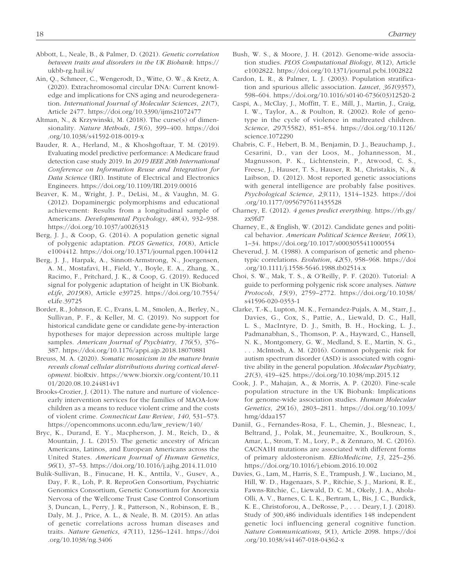- Abbott, L., Neale, B., & Palmer, D. (2021). *Genetic correlation between traits and disorders in the UK Biobank*. [https://](https://ukbb-rg.hail.is/) [ukbb-rg.hail.is/](https://ukbb-rg.hail.is/)
- Ain, Q., Schmeer, C., Wengerodt, D., Witte, O. W., & Kretz, A. (2020). Extrachromosomal circular DNA: Current knowledge and implications for CNS aging and neurodegeneration. *International Journal of Molecular Sciences*, *21*(7), Article 2477. <https://doi.org/10.3390/ijms21072477>
- Altman, N., & Krzywinski, M. (2018). The curse(s) of dimensionality. *Nature Methods*, *15*(6), 399–400. [https://doi](https://doi.org/10.1038/s41592-018-0019-x) [.org/10.1038/s41592-018-0019-x](https://doi.org/10.1038/s41592-018-0019-x)
- Bauder, R. A., Herland, M., & Khoshgoftaar, T. M. (2019). Evaluating model predictive performance: A Medicare fraud detection case study 2019. In *2019 IEEE 20th International Conference on Information Reuse and Integration for Data Science* (IRI). Institute of Electrical and Electronics Engineers. <https://doi.org/10.1109/IRI.2019.00016>
- Beaver, K. M., Wright, J. P., DeLisi, M., & Vaughn, M. G. (2012). Dopaminergic polymorphisms and educational achievement: Results from a longitudinal sample of Americans. *Developmental Psychology*, *48*(4), 932–938. <https://doi.org/10.1037/a0026313>
- Berg, J. J., & Coop, G. (2014). A population genetic signal of polygenic adaptation. *PLOS Genetics*, *10*(8), Article e1004412. <https://doi.org/10.1371/journal.pgen.1004412>
- Berg, J. J., Harpak, A., Sinnott-Armstrong, N., Joergensen, A. M., Mostafavi, H., Field, Y., Boyle, E. A., Zhang, X., Racimo, F., Pritchard, J. K., & Coop, G. (2019). Reduced signal for polygenic adaptation of height in UK Biobank. *eLife*, *2019*(8), Article e39725. [https://doi.org/10.7554/](https://doi.org/10.7554/eLife.39725) [eLife.39725](https://doi.org/10.7554/eLife.39725)
- Border, R., Johnson, E. C., Evans, L. M., Smolen, A., Berley, N., Sullivan, P. F., & Keller, M. C. (2019). No support for historical candidate gene or candidate gene-by-interaction hypotheses for major depression across multiple large samples. *American Journal of Psychiatry*, *176*(5), 376– 387. <https://doi.org/10.1176/appi.ajp.2018.18070881>
- Breuss, M. A. (2020). *Somatic mosaicism in the mature brain reveals clonal cellular distributions during cortical development*. bioRxiv. [https://www.biorxiv.org/content/10.11](https://www.biorxiv.org/content/10.1101/2020.08.10.244814v1) [01/2020.08.10.244814v1](https://www.biorxiv.org/content/10.1101/2020.08.10.244814v1)
- Brooks-Crozier, J. (2011). The nature and nurture of violenceearly intervention services for the families of MAOA-low children as a means to reduce violent crime and the costs of violent crime. *Connecticut Law Review*, *140*, 531–573. [https://opencommons.uconn.edu/law\\_review/140/](https://opencommons.uconn.edu/law_review/140/)
- Bryc, K., Durand, E. Y., Macpherson, J. M., Reich, D., & Mountain, J. L. (2015). The genetic ancestry of African Americans, Latinos, and European Americans across the United States. *American Journal of Human Genetics*, *96*(1), 37–53. <https://doi.org/10.1016/j.ajhg.2014.11.010>
- Bulik-Sullivan, B., Finucane, H. K., Anttila, V., Gusev, A., Day, F. R., Loh, P. R. ReproGen Consortium, Psychiatric Genomics Consortium, Genetic Consortium for Anorexia Nervosa of the Wellcome Trust Case Control Consortium 3, Duncan, L., Perry, J. R., Patterson, N., Robinson, E. B., Daly, M. J., Price, A. L., & Neale, B. M. (2015). An atlas of genetic correlations across human diseases and traits. *Nature Genetics*, *47*(11), 1236–1241. [https://doi](https://doi.org/10.1038/ng.3406) [.org/10.1038/ng.3406](https://doi.org/10.1038/ng.3406)
- Bush, W. S., & Moore, J. H. (2012). Genome-wide association studies. *PLOS Computational Biology*, *8*(12), Article e1002822. <https://doi.org/10.1371/journal.pcbi.1002822>
- Cardon, L. R., & Palmer, L. J. (2003). Population stratification and spurious allelic association. *Lancet*, *361*(9357), 598–604. [https://doi.org/10.1016/s0140-6736\(03\)12520-2](https://doi.org/10.1016/s0140-6736(03)12520-2)
- Caspi, A., McClay, J., Moffitt, T. E., Mill, J., Martin, J., Craig, I. W., Taylor, A., & Poulton, R. (2002). Role of genotype in the cycle of violence in maltreated children. *Science*, *297*(5582), 851–854. [https://doi.org/10.1126/](https://doi.org/10.1126/science.1072290) [science.1072290](https://doi.org/10.1126/science.1072290)
- Chabris, C. F., Hebert, B. M., Benjamin, D. J., Beauchamp, J., Cesarini, D., van der Loos, M., Johannesson, M., Magnusson, P. K., Lichtenstein, P., Atwood, C. S., Freese, J., Hauser, T. S., Hauser, R. M., Christakis, N., & Laibson, D. (2012). Most reported genetic associations with general intelligence are probably false positives. *Psychological Science*, *23*(11), 1314–1323. [https://doi](https://doi.org/10.1177/0956797611435528) [.org/10.1177/0956797611435528](https://doi.org/10.1177/0956797611435528)
- Charney, E. (2012). *4 genes predict everything*. [https://rb.gy/](https://rb.gy/zx9fd7) [zx9fd7](https://rb.gy/zx9fd7)
- Charney, E., & English, W. (2012). Candidate genes and political behavior. *American Political Science Review*, *106*(1), 1–34. <https://doi.org/10.1017/s0003055411000554>
- Cheverud, J. M. (1988). A comparison of genetic and phenotypic correlations. *Evolution*, *42*(5), 958–968. [https://doi](https://doi.org/10.1111/j.1558-5646.1988.tb02514.x) [.org/10.1111/j.1558-5646.1988.tb02514.x](https://doi.org/10.1111/j.1558-5646.1988.tb02514.x)
- Choi, S. W., Mak, T. S., & O'Reilly, P. F. (2020). Tutorial: A guide to performing polygenic risk score analyses. *Nature Protocols*, *15*(9), 2759–2772. [https://doi.org/10.1038/](https://doi.org/10.1038/s41596-020-0353-1) [s41596-020-0353-1](https://doi.org/10.1038/s41596-020-0353-1)
- Clarke, T.-K., Lupton, M. K., Fernandez-Pujals, A. M., Starr, J., Davies, G., Cox, S., Pattie, A., Liewald, D. C., Hall, L. S., MacIntyre, D. J., Smith, B. H., Hocking, L. J., Padmanabhan, S., Thomson, P. A., Hayward, C., Hansell, N. K., Montgomery, G. W., Medland, S. E., Martin, N. G., . . . McIntosh, A. M. (2016). Common polygenic risk for autism spectrum disorder (ASD) is associated with cognitive ability in the general population. *Molecular Psychiatry*, *21*(3), 419–425.<https://doi.org/10.1038/mp.2015.12>
- Cook, J. P., Mahajan, A., & Morris, A. P. (2020). Fine-scale population structure in the UK Biobank: Implications for genome-wide association studies. *Human Molecular Genetics*, *29*(16), 2803–2811. [https://doi.org/10.1093/](https://doi.org/10.1093/hmg/ddaa157) [hmg/ddaa157](https://doi.org/10.1093/hmg/ddaa157)
- Daniil, G., Fernandes-Rosa, F. L., Chemin, J., Blesneac, I., Beltrand, J., Polak, M., Jeunemaitre, X., Boulkroun, S., Amar, L., Strom, T. M., Lory, P., & Zennaro, M. C. (2016). CACNA1H mutations are associated with different forms of primary aldosteronism. *EBioMedicine*, *13*, 225–236. <https://doi.org/10.1016/j.ebiom.2016.10.002>
- Davies, G., Lam, M., Harris, S. E., Trampush, J. W., Luciano, M., Hill, W. D., Hagenaars, S. P., Ritchie, S. J., Marioni, R. E., Fawns-Ritchie, C., Liewald, D. C. M., Okely, J. A., Ahola-Olli, A. V., Barnes, C. L. K., Bertram, L., Bis, J. C., Burdick, K. E., Christoforou, A., DeRosse, P., . . . Deary, I. J. (2018). Study of 300,486 individuals identifies 148 independent genetic loci influencing general cognitive function. *Nature Communications*, *9*(1), Article 2098. [https://doi](https://doi.org/10.1038/s41467-018-04362-x) [.org/10.1038/s41467-018-04362-x](https://doi.org/10.1038/s41467-018-04362-x)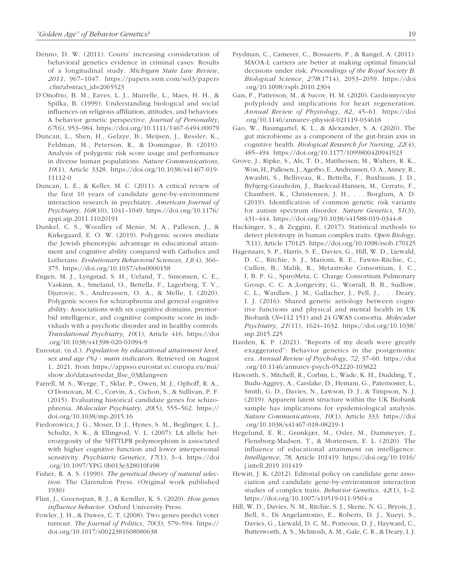- Denno, D. W. (2011). Courts' increasing consideration of behavioral genetics evidence in criminal cases: Results of a longitudinal study. *Michigan State Law Review*, *2011*, 967–1047. [https://papers.ssrn.com/sol3/papers](https://papers.ssrn.com/sol3/papers.cfm?abstract_id=2065523) [.cfm?abstract\\_id=2065523](https://papers.ssrn.com/sol3/papers.cfm?abstract_id=2065523)
- D'Onofrio, B. M., Eaves, L. J., Murrelle, L., Maes, H. H., & Spilka, B. (1999). Understanding biological and social influences on religious affiliation, attitudes, and behaviors: A behavior genetic perspective. *Journal of Personality*, *67*(6), 953–984.<https://doi.org/10.1111/1467-6494.00079>
- Duncan, L., Shen, H., Gelaye, B., Meijsen, J., Ressler, K., Feldman, M., Peterson, R., & Domingue, B. (2019). Analysis of polygenic risk score usage and performance in diverse human populations. *Nature Communications*, *10*(1), Article 3328. [https://doi.org/10.1038/s41467-019-](https://doi.org/10.1038/s41467-019-11112-0) [11112-0](https://doi.org/10.1038/s41467-019-11112-0)
- Duncan, L. E., & Keller, M. C. (2011). A critical review of the first 10 years of candidate gene-by-environment interaction research in psychiatry. *American Journal of Psychiatry*, *168*(10), 1041–1049. [https://doi.org/10.1176/](https://doi.org/10.1176/appi.ajp.2011.11020191) [appi.ajp.2011.11020191](https://doi.org/10.1176/appi.ajp.2011.11020191)
- Dunkel, C. S., Woodley of Menie, M. A., Pallesen, J., & Kirkegaard, E. O. W. (2019). Polygenic scores mediate the Jewish phenotypic advantage in educational attainment and cognitive ability compared with Catholics and Lutherans. *Evolutionary Behavioral Sciences*, *13*(4), 366– 375. <https://doi.org/10.1037/ebs0000158>
- Engen, M. J., Lyngstad, S. H., Ueland, T., Simonsen, C. E., Vaskinn, A., Smeland, O., Bettella, F., Lagerberg, T. V., Djurovic, S., Andreassen, O. A., & Melle, I. (2020). Polygenic scores for schizophrenia and general cognitive ability: Associations with six cognitive domains, premorbid intelligence, and cognitive composite score in individuals with a psychotic disorder and in healthy controls. *Translational Psychiatry*, *10*(1), Article 416. [https://doi](https://doi.org/10.1038/s41398-020-01094-9) [.org/10.1038/s41398-020-01094-9](https://doi.org/10.1038/s41398-020-01094-9)
- Eurostat. (n.d.). *Population by educational attainment level, sex and age (%) - main indicators*. Retrieved on August 1, 2021, from [https://appsso.eurostat.ec.europa.eu/nui/](https://appsso.eurostat.ec.europa.eu/nui/show.do?dataset=edat_lfse_03&lang=en) [show.do?dataset=edat\\_lfse\\_03&lang=en](https://appsso.eurostat.ec.europa.eu/nui/show.do?dataset=edat_lfse_03&lang=en)
- Farrell, M. S., Werge, T., Sklar, P., Owen, M. J., Ophoff, R. A., O'Donovan, M. C., Corvin, A., Cichon, S., & Sullivan, P. F. (2015). Evaluating historical candidate genes for schizophrenia. *Molecular Psychiatry*, *20*(5), 555–562. [https://](https://doi.org/10.1038/mp.2015.16) [doi.org/10.1038/mp.2015.16](https://doi.org/10.1038/mp.2015.16)
- Fiedorowicz, J. G., Moser, D. J., Hynes, S. M., Beglinger, L. J., Schultz, S. K., & Ellingrod, V. L. (2007). LA allelic heterozygosity of the 5HTTLPR polymorphism is associated with higher cognitive function and lower interpersonal sensitivity. *Psychiatric Genetics*, *17*(1), 3–4. [https://doi](https://doi.org/10.1097/YPG.0b013e328010f498) [.org/10.1097/YPG.0b013e328010f498](https://doi.org/10.1097/YPG.0b013e328010f498)
- Fisher, R. A. S. (1990). *The genetical theory of natural selection*. The Clarendon Press. (Original work published 1930)
- Flint, J., Greenspan, R. J., & Kendler, K. S. (2020). *How genes influence behavior*. Oxford University Press.
- Fowler, J. H., & Dawes, C. T. (2008). Two genes predict voter turnout. *The Journal of Politics*, *70*(3), 579–594. [https://](https://doi.org/10.1017/s0022381608080638) [doi.org/10.1017/s0022381608080638](https://doi.org/10.1017/s0022381608080638)
- Frydman, C., Camerer, C., Bossaerts, P., & Rangel, A. (2011). MAOA-L carriers are better at making optimal financial decisions under risk. *Proceedings of the Royal Society B: Biological Science*, *278*(1714), 2053–2059. [https://doi](https://doi.org/10.1098/rspb.2010.2304) [.org/10.1098/rspb.2010.2304](https://doi.org/10.1098/rspb.2010.2304)
- Gan, P., Patterson, M., & Sucov, H. M. (2020). Cardiomyocyte polyploidy and implications for heart regeneration. *Annual Review of Physiology*, *82*, 45–61. [https://doi](https://doi.org/10.1146/annurev-physiol-021119-034618) [.org/10.1146/annurev-physiol-021119-034618](https://doi.org/10.1146/annurev-physiol-021119-034618)
- Gao, W., Baumgartel, K. L., & Alexander, S. A. (2020). The gut microbiome as a component of the gut-brain axis in cognitive health. *Biological Research for Nursing*, *22*(4), 485–494. <https://doi.org/10.1177/1099800420941923>
- Grove, J., Ripke, S., Als, T. D., Mattheisen, M., Walters, R. K., Won, H., Pallesen, J., Agerbo, E., Andreassen, O. A., Anney, R., Awashti, S., Belliveau, R., Bettella, F., Buxbaum, J. D., Bybjerg-Grauholm, J., Baekvad-Hansen, M., Cerrato, F., Chambert, K., Christensen, J. H., . . . Borglum, A. D. (2019). Identification of common genetic risk variants for autism spectrum disorder. *Nature Genetics*, *51*(3), 431–444. <https://doi.org/10.1038/s41588-019-0344-8>
- Hackinger, S., & Zeggini, E. (2017). Statistical methods to detect pleiotropy in human complex traits. *Open Biology*, *7*(11), Article 170125.<https://doi.org/10.1098/rsob.170125>
- Hagenaars, S. P., Harris, S. E., Davies, G., Hill, W. D., Liewald, D. C., Ritchie, S. J., Marioni, R. E., Fawns-Ritchie, C., Cullen, B., Malik, R., Metastroke Consortium, I. C., f, B. P. G., SpiroMeta, C. Charge Consortium Pulmonary Group, C. C. A.,Longevity, G., Worrall, B. B., Sudlow, C. L., Wardlaw, J. M., Gallacher, J., Pell, J., . . . Deary, I. J. (2016). Shared genetic aetiology between cognitive functions and physical and mental health in UK Biobank (*N*=112 151) and 24 GWAS consortia. *Molecular Psychiatry*, *21*(11), 1624–1632. [https://doi.org/10.1038/](https://doi.org/10.1038/mp.2015.225) [mp.2015.225](https://doi.org/10.1038/mp.2015.225)
- Harden, K. P. (2021). "Reports of my death were greatly exaggerated": Behavior genetics in the postgenomic era. *Annual Review of Psychology*, *72*, 37–60. [https://doi](https://doi.org/10.1146/annurev-psych-052220-103822) [.org/10.1146/annurev-psych-052220-103822](https://doi.org/10.1146/annurev-psych-052220-103822)
- Haworth, S., Mitchell, R., Corbin, L., Wade, K. H., Dudding, T., Budu-Aggrey, A., Carslake, D., Hemani, G., Paternoster, L., Smith, G. D., Davies, N., Lawson, D. J., & Timpson, N. J. (2019). Apparent latent structure within the UK Biobank sample has implications for epidemiological analysis. *Nature Communications*, *10*(1), Article 333. [https://doi](https://doi.org/10.1038/s41467-018-08219-1) [.org/10.1038/s41467-018-08219-1](https://doi.org/10.1038/s41467-018-08219-1)
- Hegelund, E. R., Grønkjær, M., Osler, M., Dammeyer, J., Flensborg-Madsen, T., & Mortensen, E. L. (2020). The influence of educational attainment on intelligence. *Intelligence*, *78*, Article 101419. [https://doi.org/10.1016/](https://doi.org/10.1016/j.intell.2019.101419) [j.intell.2019.101419](https://doi.org/10.1016/j.intell.2019.101419)
- Hewitt, J. K. (2012). Editorial policy on candidate gene association and candidate gene-by-environment interaction studies of complex traits. *Behavior Genetics*, *42*(1), 1–2. <https://doi.org/10.1007/s10519-011-9504-z>
- Hill, W. D., Davies, N. M., Ritchie, S. J., Skene, N. G., Bryois, J., Bell, S., Di Angelantonio, E., Roberts, D. J., Xueyi, S., Davies, G., Liewald, D. C. M., Porteous, D. J., Hayward, C., Butterworth, A. S., McIntosh, A. M., Gale, C. R., & Deary, I. J.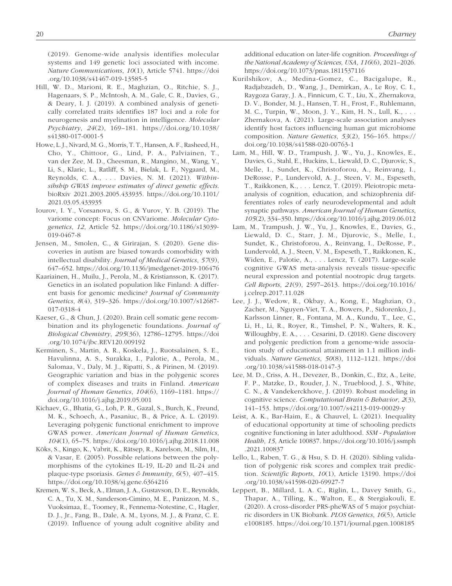(2019). Genome-wide analysis identifies molecular systems and 149 genetic loci associated with income. *Nature Communications*, *10*(1), Article 5741. [https://doi](https://doi.org/10.1038/s41467-019-13585-5) [.org/10.1038/s41467-019-13585-5](https://doi.org/10.1038/s41467-019-13585-5)

- Hill, W. D., Marioni, R. E., Maghzian, O., Ritchie, S. J., Hagenaars, S. P., McIntosh, A. M., Gale, C. R., Davies, G., & Deary, I. J. (2019). A combined analysis of genetically correlated traits identifies 187 loci and a role for neurogenesis and myelination in intelligence. *Molecular Psychiatry*, *24*(2), 169–181. [https://doi.org/10.1038/](https://doi.org/10.1038/s41380-017-0001-5) [s41380-017-0001-5](https://doi.org/10.1038/s41380-017-0001-5)
- Howe, L. J., Nivard, M. G., Morris, T. T., Hansen, A. F., Rasheed, H., Cho, Y., Chittoor, G., Lind, P. A., Palviainen, T., van der Zee, M. D., Cheesman, R., Mangino, M., Wang, Y., Li, S., Klaric, L., Ratliff, S. M., Bielak, L. F., Nygaard, M., Reynolds, C. A., . . . Davies, N. M. (2021). *Withinsibship GWAS improve estimates of direct genetic effects*. bioRxiv 2021.2003.2005.433935. [https://doi.org/10.1101/](https://doi.org/10.1101/2021.03.05.433935) [2021.03.05.433935](https://doi.org/10.1101/2021.03.05.433935)
- Iourov, I. Y., Vorsanova, S. G., & Yurov, Y. B. (2019). The variome concept: Focus on CNVariome. *Molecular Cytogenetics*, *12*, Article 52. [https://doi.org/10.1186/s13039-](https://doi.org/10.1186/s13039-019-0467-8) [019-0467-8](https://doi.org/10.1186/s13039-019-0467-8)
- Jensen, M., Smolen, C., & Girirajan, S. (2020). Gene discoveries in autism are biased towards comorbidity with intellectual disability. *Journal of Medical Genetics*, *57*(9), 647–652.<https://doi.org/10.1136/jmedgenet-2019-106476>
- Kaariainen, H., Muilu, J., Perola, M., & Kristiansson, K. (2017). Genetics in an isolated population like Finland: A different basis for genomic medicine? *Journal of Community Genetics*, *8*(4), 319–326. [https://doi.org/10.1007/s12687-](https://doi.org/10.1007/s12687-017-0318-4) [017-0318-4](https://doi.org/10.1007/s12687-017-0318-4)
- Kaeser, G., & Chun, J. (2020). Brain cell somatic gene recombination and its phylogenetic foundations. *Journal of Biological Chemistry*, *295*(36), 12786–12795. [https://doi](https://doi.org/10.1074/jbc.REV120.009192) [.org/10.1074/jbc.REV120.009192](https://doi.org/10.1074/jbc.REV120.009192)
- Kerminen, S., Martin, A. R., Koskela, J., Ruotsalainen, S. E., Havulinna, A. S., Surakka, I., Palotie, A., Perola, M., Salomaa, V., Daly, M. J., Ripatti, S., & Pirinen, M. (2019). Geographic variation and bias in the polygenic scores of complex diseases and traits in Finland. *American Journal of Human Genetics*, *104*(6), 1169–1181. [https://](https://doi.org/10.1016/j.ajhg.2019.05.001) [doi.org/10.1016/j.ajhg.2019.05.001](https://doi.org/10.1016/j.ajhg.2019.05.001)
- Kichaev, G., Bhatia, G., Loh, P. R., Gazal, S., Burch, K., Freund, M. K., Schoech, A., Pasaniuc, B., & Price, A. L. (2019). Leveraging polygenic functional enrichment to improve GWAS power. *American Journal of Human Genetics*, *104*(1), 65–75.<https://doi.org/10.1016/j.ajhg.2018.11.008>
- Kõks, S., Kingo, K., Vabrit, K., Rätsep, R., Karelson, M., Silm, H., & Vasar, E. (2005). Possible relations between the polymorphisms of the cytokines IL-19, IL-20 and IL-24 and plaque-type psoriasis. *Genes & Immunity*, *6*(5), 407–415. <https://doi.org/10.1038/sj.gene.6364216>
- Kremen, W. S., Beck, A., Elman, J. A., Gustavson, D. E., Reynolds, C. A., Tu, X. M., Sanderson-Cimino, M. E., Panizzon, M. S., Vuoksimaa, E., Toomey, R., Fennema-Notestine, C., Hagler, D. J., Jr., Fang, B., Dale, A. M., Lyons, M. J., & Franz, C. E. (2019). Influence of young adult cognitive ability and

additional education on later-life cognition. *Proceedings of the National Academy of Sciences, USA*, *116*(6), 2021–2026. <https://doi.org/10.1073/pnas.1811537116>

- Kurilshikov, A., Medina-Gomez, C., Bacigalupe, R., Radjabzadeh, D., Wang, J., Demirkan, A., Le Roy, C. I., Raygoza Garay, J. A., Finnicum, C. T., Liu, X., Zhernakova, D. V., Bonder, M. J., Hansen, T. H., Frost, F., Ruhlemann, M. C., Turpin, W., Moon, J. Y., Kim, H. N., Lull, K., . . . Zhernakova, A. (2021). Large-scale association analyses identify host factors influencing human gut microbiome composition. *Nature Genetics*, *53*(2), 156–165. [https://](https://doi.org/10.1038/s41588-020-00763-1) [doi.org/10.1038/s41588-020-00763-1](https://doi.org/10.1038/s41588-020-00763-1)
- Lam, M., Hill, W. D., Trampush, J. W., Yu, J., Knowles, E., Davies, G., Stahl, E., Huckins, L., Liewald, D. C., Djurovic, S., Melle, I., Sundet, K., Christoforou, A., Reinvang, I., DeRosse, P., Lundervold, A. J., Steen, V. M., Espeseth, T., Raikkonen, K., . . . Lencz, T. (2019). Pleiotropic metaanalysis of cognition, education, and schizophrenia differentiates roles of early neurodevelopmental and adult synaptic pathways. *American Journal of Human Genetics*, *105*(2), 334–350.<https://doi.org/10.1016/j.ajhg.2019.06.012>
- Lam, M., Trampush, J. W., Yu, J., Knowles, E., Davies, G., Liewald, D. C., Starr, J. M., Djurovic, S., Melle, I., Sundet, K., Christoforou, A., Reinvang, I., DeRosse, P., Lundervold, A. J., Steen, V. M., Espeseth, T., Raikkonen, K., Widen, E., Palotie, A., . . . Lencz, T. (2017). Large-scale cognitive GWAS meta-analysis reveals tissue-specific neural expression and potential nootropic drug targets. *Cell Reports*, *21*(9), 2597–2613. [https://doi.org/10.1016/](https://doi.org/10.1016/j.celrep.2017.11.028) [j.celrep.2017.11.028](https://doi.org/10.1016/j.celrep.2017.11.028)
- Lee, J. J., Wedow, R., Okbay, A., Kong, E., Maghzian, O., Zacher, M., Nguyen-Viet, T. A., Bowers, P., Sidorenko, J., Karlsson Linner, R., Fontana, M. A., Kundu, T., Lee, C., Li, H., Li, R., Royer, R., Timshel, P. N., Walters, R. K., Willoughby, E. A., . . . Cesarini, D. (2018). Gene discovery and polygenic prediction from a genome-wide association study of educational attainment in 1.1 million individuals. *Nature Genetics*, *50*(8), 1112–1121. [https://doi](https://doi.org/10.1038/s41588-018-0147-3) [.org/10.1038/s41588-018-0147-3](https://doi.org/10.1038/s41588-018-0147-3)
- Lee, M. D., Criss, A. H., Devezer, B., Donkin, C., Etz, A., Leite, F. P., Matzke, D., Rouder, J. N., Trueblood, J. S., White, C. N., & Vandekerckhove, J. (2019). Robust modeling in cognitive science. *Computational Brain & Behavior*, *2*(3), 141–153. <https://doi.org/10.1007/s42113-019-00029-y>
- Leist, A. K., Bar-Haim, E., & Chauvel, L. (2021). Inequality of educational opportunity at time of schooling predicts cognitive functioning in later adulthood. *SSM - Population Health*, *15*, Article 100837. [https://doi.org/10.1016/j.ssmph](https://doi.org/10.1016/j.ssmph.2021.100837) [.2021.100837](https://doi.org/10.1016/j.ssmph.2021.100837)
- Lello, L., Raben, T. G., & Hsu, S. D. H. (2020). Sibling validation of polygenic risk scores and complex trait prediction. *Scientific Reports*, *10*(1), Article 13190. [https://doi](https://doi.org/10.1038/s41598-020-69927-7) [.org/10.1038/s41598-020-69927-7](https://doi.org/10.1038/s41598-020-69927-7)
- Leppert, B., Millard, L. A. C., Riglin, L., Davey Smith, G., Thapar, A., Tilling, K., Walton, E., & Stergiakouli, E. (2020). A cross-disorder PRS-pheWAS of 5 major psychiatric disorders in UK Biobank. *PLOS Genetics*, *16*(5), Article e1008185. <https://doi.org/10.1371/journal.pgen.1008185>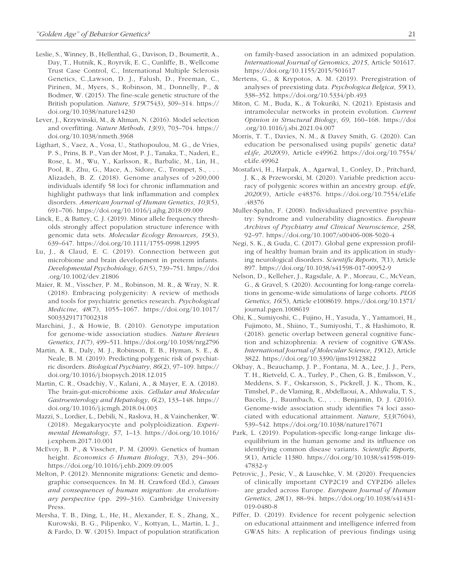- Leslie, S., Winney, B., Hellenthal, G., Davison, D., Boumertit, A., Day, T., Hutnik, K., Royrvik, E. C., Cunliffe, B., Wellcome Trust Case Control, C., International Multiple Sclerosis Genetics, C.,Lawson, D. J., Falush, D., Freeman, C., Pirinen, M., Myers, S., Robinson, M., Donnelly, P., & Bodmer, W. (2015). The fine-scale genetic structure of the British population. *Nature*, *519*(7543), 309–314. [https://](https://doi.org/10.1038/nature14230) [doi.org/10.1038/nature14230](https://doi.org/10.1038/nature14230)
- Lever, J., Krzywinski, M., & Altman, N. (2016). Model selection and overfitting. *Nature Methods*, *13*(9), 703–704. [https://](https://doi.org/10.1038/nmeth.3968) [doi.org/10.1038/nmeth.3968](https://doi.org/10.1038/nmeth.3968)
- Ligthart, S., Vaez, A., Vosa, U., Stathopoulou, M. G., de Vries, P. S., Prins, B. P., Van der Most, P. J., Tanaka, T., Naderi, E., Rose, L. M., Wu, Y., Karlsson, R., Barbalic, M., Lin, H., Pool, R., Zhu, G., Mace, A., Sidore, C., Trompet, S., . . . Alizadeh, B. Z. (2018). Genome analyses of >200,000 individuals identify 58 loci for chronic inflammation and highlight pathways that link inflammation and complex disorders. *American Journal of Human Genetics*, *103*(5), 691–706. <https://doi.org/10.1016/j.ajhg.2018.09.009>
- Linck, E., & Battey, C. J. (2019). Minor allele frequency thresholds strongly affect population structure inference with genomic data sets. *Molecular Ecology Resources*, *19*(3), 639–647. <https://doi.org/10.1111/1755-0998.12995>
- Lu, J., & Claud, E. C. (2019). Connection between gut microbiome and brain development in preterm infants. *Developmental Psychobiology*, *61*(5), 739–751. [https://doi](https://doi.org/10.1002/dev.21806) [.org/10.1002/dev.21806](https://doi.org/10.1002/dev.21806)
- Maier, R. M., Visscher, P. M., Robinson, M. R., & Wray, N. R. (2018). Embracing polygenicity: A review of methods and tools for psychiatric genetics research. *Psychological Medicine*, *48*(7), 1055–1067. [https://doi.org/10.1017/](https://doi.org/10.1017/S0033291717002318) [S0033291717002318](https://doi.org/10.1017/S0033291717002318)
- Marchini, J., & Howie, B. (2010). Genotype imputation for genome-wide association studies. *Nature Reviews Genetics*, *11*(7), 499–511.<https://doi.org/10.1038/nrg2796>
- Martin, A. R., Daly, M. J., Robinson, E. B., Hyman, S. E., & Neale, B. M. (2019). Predicting polygenic risk of psychiatric disorders. *Biological Psychiatry*, *86*(2), 97–109. [https://](https://doi.org/10.1016/j.biopsych.2018.12.015) [doi.org/10.1016/j.biopsych.2018.12.015](https://doi.org/10.1016/j.biopsych.2018.12.015)
- Martin, C. R., Osadchiy, V., Kalani, A., & Mayer, E. A. (2018). The brain-gut-microbiome axis. *Cellular and Molecular Gastroenterology and Hepatology*, *6*(2), 133–148. [https://](https://doi.org/10.1016/j.jcmgh.2018.04.003) [doi.org/10.1016/j.jcmgh.2018.04.003](https://doi.org/10.1016/j.jcmgh.2018.04.003)
- Mazzi, S., Lordier, L., Debili, N., Raslova, H., & Vainchenker, W. (2018). Megakaryocyte and polyploidization. *Experimental Hematology*, *57*, 1–13. [https://doi.org/10.1016/](https://doi.org/10.1016/j.exphem.2017.10.001) [j.exphem.2017.10.001](https://doi.org/10.1016/j.exphem.2017.10.001)
- McEvoy, B. P., & Visscher, P. M. (2009). Genetics of human height. *Economics & Human Biology*, *7*(3), 294–306. <https://doi.org/10.1016/j.ehb.2009.09.005>
- Melton, P. (2012). Mennonite migrations: Genetic and demographic consequences. In M. H. Crawford (Ed.), *Causes and consequences of human migration: An evolutionary perspective* (pp. 299–316). Cambridge University Press.
- Mersha, T. B., Ding, L., He, H., Alexander, E. S., Zhang, X., Kurowski, B. G., Pilipenko, V., Kottyan, L., Martin, L. J., & Fardo, D. W. (2015). Impact of population stratification

on family-based association in an admixed population. *International Journal of Genomics*, *2015*, Article 501617. <https://doi.org/10.1155/2015/501617>

- Mertens, G., & Krypotos, A. M. (2019). Preregistration of analyses of preexisting data. *Psychologica Belgica*, *59*(1), 338–352. <https://doi.org/10.5334/pb.493>
- Miton, C. M., Buda, K., & Tokuriki, N. (2021). Epistasis and intramolecular networks in protein evolution. *Current Opinion in Structural Biology*, *69*, 160–168. [https://doi](https://doi.org/10.1016/j.sbi.2021.04.007) [.org/10.1016/j.sbi.2021.04.007](https://doi.org/10.1016/j.sbi.2021.04.007)
- Morris, T. T., Davies, N. M., & Davey Smith, G. (2020). Can education be personalised using pupils' genetic data? *eLife*, *2020*(9), Article e49962. [https://doi.org/10.7554/](https://doi.org/10.7554/eLife.49962) [eLife.49962](https://doi.org/10.7554/eLife.49962)
- Mostafavi, H., Harpak, A., Agarwal, I., Conley, D., Pritchard, J. K., & Przeworski, M. (2020). Variable prediction accuracy of polygenic scores within an ancestry group. *eLife*, *2020*(9), Article e48376. [https://doi.org/10.7554/eLife](https://doi.org/10.7554/eLife.48376) [.48376](https://doi.org/10.7554/eLife.48376)
- Muller-Spahn, F. (2008). Individualized preventive psychiatry: Syndrome and vulnerability diagnostics. *European Archives of Psychiatry and Clinical Neuroscience*, *258*, 92–97. <https://doi.org/10.1007/s00406-008-5020-4>
- Negi, S. K., & Guda, C. (2017). Global gene expression profiling of healthy human brain and its application in studying neurological disorders. *Scientific Reports*, *7*(1), Article 897.<https://doi.org/10.1038/s41598-017-00952-9>
- Nelson, D., Kelleher, J., Ragsdale, A. P., Moreau, C., McVean, G., & Gravel, S. (2020). Accounting for long-range correlations in genome-wide simulations of large cohorts. *PLOS Genetics*, *16*(5), Article e1008619. [https://doi.org/10.1371/](https://doi.org/10.1371/journal.pgen.1008619) [journal.pgen.1008619](https://doi.org/10.1371/journal.pgen.1008619)
- Ohi, K., Sumiyoshi, C., Fujino, H., Yasuda, Y., Yamamori, H., Fujimoto, M., Shiino, T., Sumiyoshi, T., & Hashimoto, R. (2018). genetic overlap between general cognitive function and schizophrenia: A review of cognitive GWASs. *International Journal of Molecular Science*, *19*(12), Article 3822. <https://doi.org/10.3390/ijms19123822>
- Okbay, A., Beauchamp, J. P., Fontana, M. A., Lee, J. J., Pers, T. H., Rietveld, C. A., Turley, P., Chen, G. B., Emilsson, V., Meddens, S. F., Oskarsson, S., Pickrell, J. K., Thom, K., Timshel, P., de Vlaming, R., Abdellaoui, A., Ahluwalia, T. S., Bacelis, J., Baumbach, C., . . . Benjamin, D. J. (2016). Genome-wide association study identifies 74 loci associated with educational attainment. *Nature*, *533*(7604), 539–542. <https://doi.org/10.1038/nature17671>
- Park, L. (2019). Population-specific long-range linkage disequilibrium in the human genome and its influence on identifying common disease variants. *Scientific Reports*, *9*(1), Article 11380. [https://doi.org/10.1038/s41598-019-](https://doi.org/10.1038/s41598-019-47832-y) [47832-y](https://doi.org/10.1038/s41598-019-47832-y)
- Petrovic, J., Pesic, V., & Lauschke, V. M. (2020). Frequencies of clinically important CYP2C19 and CYP2D6 alleles are graded across Europe. *European Journal of Human Genetics*, *28*(1), 88–94. [https://doi.org/10.1038/s41431-](https://doi.org/10.1038/s41431-019-0480-8) [019-0480-8](https://doi.org/10.1038/s41431-019-0480-8)
- Piffer, D. (2019). Evidence for recent polygenic selection on educational attainment and intelligence inferred from GWAS hits: A replication of previous findings using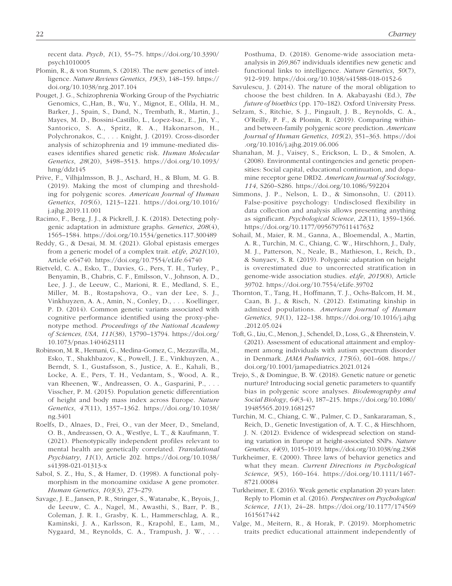recent data. *Psych*, *1*(1), 55–75. [https://doi.org/10.3390/](https://doi.org/10.3390/psych1010005) [psych1010005](https://doi.org/10.3390/psych1010005)

- Plomin, R., & von Stumm, S. (2018). The new genetics of intelligence. *Nature Reviews Genetics*, *19*(3), 148–159. [https://](https://doi.org/10.1038/nrg.2017.104) [doi.org/10.1038/nrg.2017.104](https://doi.org/10.1038/nrg.2017.104)
- Pouget, J. G., Schizophrenia Working Group of the Psychiatric Genomics, C.,Han, B., Wu, Y., Mignot, E., Ollila, H. M., Barker, J., Spain, S., Dand, N., Trembath, R., Martin, J., Mayes, M. D., Bossini-Castillo, L., Lopez-Isac, E., Jin, Y., Santorico, S. A., Spritz, R. A., Hakonarson, H., Polychronakos, C., . . . Knight, J. (2019). Cross-disorder analysis of schizophrenia and 19 immune-mediated diseases identifies shared genetic risk. *Human Molecular Genetics*, *28*(20), 3498–3513. [https://doi.org/10.1093/](https://doi.org/10.1093/hmg/ddz145) [hmg/ddz145](https://doi.org/10.1093/hmg/ddz145)
- Prive, F., Vilhjalmsson, B. J., Aschard, H., & Blum, M. G. B. (2019). Making the most of clumping and thresholding for polygenic scores. *American Journal of Human Genetics*, *105*(6), 1213–1221. [https://doi.org/10.1016/](https://doi.org/10.1016/j.ajhg.2019.11.001) [j.ajhg.2019.11.001](https://doi.org/10.1016/j.ajhg.2019.11.001)
- Racimo, F., Berg, J. J., & Pickrell, J. K. (2018). Detecting polygenic adaptation in admixture graphs. *Genetics*, *208*(4), 1565–1584. <https://doi.org/10.1534/genetics.117.300489>
- Reddy, G., & Desai, M. M. (2021). Global epistasis emerges from a generic model of a complex trait. *eLife*, *2021*(10), Article e64740. <https://doi.org/10.7554/eLife.64740>
- Rietveld, C. A., Esko, T., Davies, G., Pers, T. H., Turley, P., Benyamin, B., Chabris, C. F., Emilsson, V., Johnson, A. D., Lee, J. J., de Leeuw, C., Marioni, R. E., Medland, S. E., Miller, M. B., Rostapshova, O., van der Lee, S. J., Vinkhuyzen, A. A., Amin, N., Conley, D., . . . Koellinger, P. D. (2014). Common genetic variants associated with cognitive performance identified using the proxy-phenotype method. *Proceedings of the National Academy of Sciences, USA*, *111*(38), 13790–13794. [https://doi.org/](https://doi.org/10.1073/pnas.1404623111) [10.1073/pnas.1404623111](https://doi.org/10.1073/pnas.1404623111)
- Robinson, M. R., Hemani, G., Medina-Gomez, C., Mezzavilla, M., Esko, T., Shakhbazov, K., Powell, J. E., Vinkhuyzen, A., Berndt, S. I., Gustafsson, S., Justice, A. E., Kahali, B., Locke, A. E., Pers, T. H., Vedantam, S., Wood, A. R., van Rheenen, W., Andreassen, O. A., Gasparini, P., . . . Visscher, P. M. (2015). Population genetic differentiation of height and body mass index across Europe. *Nature Genetics*, *47*(11), 1357–1362. [https://doi.org/10.1038/](https://doi.org/10.1038/ng.3401) [ng.3401](https://doi.org/10.1038/ng.3401)
- Roelfs, D., Alnaes, D., Frei, O., van der Meer, D., Smeland, O. B., Andreassen, O. A., Westlye, L. T., & Kaufmann, T. (2021). Phenotypically independent profiles relevant to mental health are genetically correlated. *Translational Psychiatry*, *11*(1), Article 202. [https://doi.org/10.1038/](https://doi.org/10.1038/s41398-021-01313-x) [s41398-021-01313-x](https://doi.org/10.1038/s41398-021-01313-x)
- Sabol, S. Z., Hu, S., & Hamer, D. (1998). A functional polymorphism in the monoamine oxidase A gene promoter. *Human Genetics*, *103*(3), 273–279.
- Savage, J. E., Jansen, P. R., Stringer, S., Watanabe, K., Bryois, J., de Leeuw, C. A., Nagel, M., Awasthi, S., Barr, P. B., Coleman, J. R. I., Grasby, K. L., Hammerschlag, A. R., Kaminski, J. A., Karlsson, R., Krapohl, E., Lam, M., Nygaard, M., Reynolds, C. A., Trampush, J. W., . . .

Posthuma, D. (2018). Genome-wide association metaanalysis in 269,867 individuals identifies new genetic and functional links to intelligence. *Nature Genetics*, *50*(7), 912–919. <https://doi.org/10.1038/s41588-018-0152-6>

- Savulescu, J. (2014). The nature of the moral obligation to choose the best children. In A. Akabayashi (Ed.), *The future of bioethics* (pp. 170–182). Oxford University Press.
- Selzam, S., Ritchie, S. J., Pingault, J. B., Reynolds, C. A., O'Reilly, P. F., & Plomin, R. (2019). Comparing withinand between-family polygenic score prediction. *American Journal of Human Genetics*, *105*(2), 351–363. [https://doi](https://doi.org/10.1016/j.ajhg.2019.06.006) [.org/10.1016/j.ajhg.2019.06.006](https://doi.org/10.1016/j.ajhg.2019.06.006)
- Shanahan, M. J., Vaisey, S., Erickson, L. D., & Smolen, A. (2008). Environmental contingencies and genetic propensities: Social capital, educational continuation, and dopamine receptor gene DRD2. *American Journal of Sociology*, *114*, S260–S286. <https://doi.org/10.1086/592204>
- Simmons, J. P., Nelson, L. D., & Simonsohn, U. (2011). False-positive psychology: Undisclosed flexibility in data collection and analysis allows presenting anything as significant. *Psychological Science*, *22*(11), 1359–1366. <https://doi.org/10.1177/0956797611417632>
- Sohail, M., Maier, R. M., Ganna, A., Bloemendal, A., Martin, A. R., Turchin, M. C., Chiang, C. W., Hirschhorn, J., Daly, M. J., Patterson, N., Neale, B., Mathieson, I., Reich, D., & Sunyaev, S. R. (2019). Polygenic adaptation on height is overestimated due to uncorrected stratification in genome-wide association studies. *eLife*, *2019*(8), Article 39702. <https://doi.org/10.7554/eLife.39702>
- Thornton, T., Tang, H., Hoffmann, T. J., Ochs-Balcom, H. M., Caan, B. J., & Risch, N. (2012). Estimating kinship in admixed populations. *American Journal of Human Genetics*, *91*(1), 122–138. [https://doi.org/10.1016/j.ajhg](https://doi.org/10.1016/j.ajhg.2012.05.024) [.2012.05.024](https://doi.org/10.1016/j.ajhg.2012.05.024)
- Toft, G., Liu, C., Menon, J., Schendel, D., Loss, G., & Ehrenstein, V. (2021). Assessment of educational attainment and employment among individuals with autism spectrum disorder in Denmark. *JAMA Pediatrics*, *175*(6), 601–608. [https://](https://doi.org/10.1001/jamapediatrics.2021.0124) [doi.org/10.1001/jamapediatrics.2021.0124](https://doi.org/10.1001/jamapediatrics.2021.0124)
- Trejo, S., & Domingue, B. W. (2018). Genetic nature or genetic nurture? Introducing social genetic parameters to quantify bias in polygenic score analyses. *Biodemography and Social Biology*, *64*(3-4), 187–215. [https://doi.org/10.1080/](https://doi.org/10.1080/19485565.2019.1681257) [19485565.2019.1681257](https://doi.org/10.1080/19485565.2019.1681257)
- Turchin, M. C., Chiang, C. W., Palmer, C. D., Sankararaman, S., Reich, D., Genetic Investigation of, A. T. C., & Hirschhorn, J. N. (2012). Evidence of widespread selection on standing variation in Europe at height-associated SNPs. *Nature Genetics*, *44*(9), 1015–1019.<https://doi.org/10.1038/ng.2368>
- Turkheimer, E. (2000). Three laws of behavior genetics and what they mean. *Current Directions in Psychological Science*, *9*(5), 160–164. [https://doi.org/10.1111/1467-](https://doi.org/10.1111/1467-8721.00084) [8721.00084](https://doi.org/10.1111/1467-8721.00084)
- Turkheimer, E. (2016). Weak genetic explanation 20 years later: Reply to Plomin et al. (2016). *Perspectives on Psychological Science*, *11*(1), 24–28. [https://doi.org/10.1177/174569](https://doi.org/10.1177/1745691615617442) [1615617442](https://doi.org/10.1177/1745691615617442)
- Valge, M., Meitern, R., & Horak, P. (2019). Morphometric traits predict educational attainment independently of